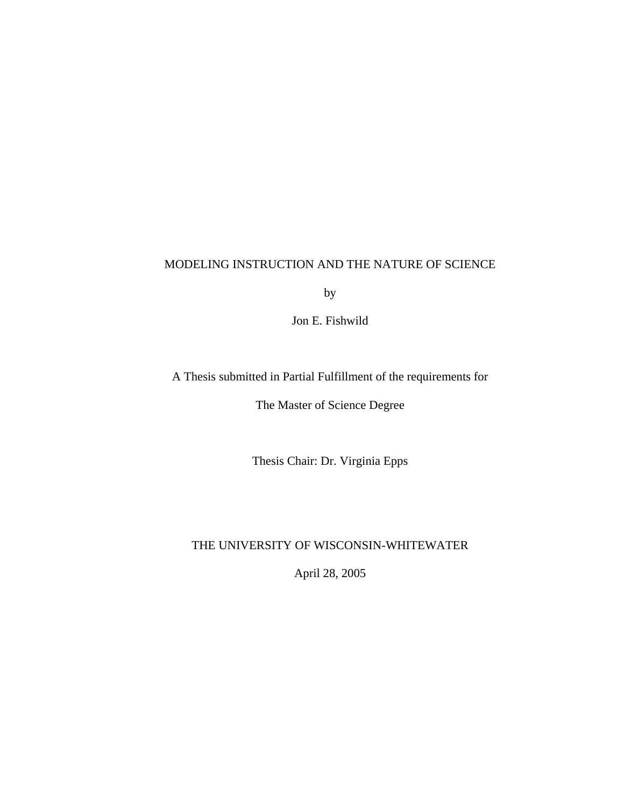# MODELING INSTRUCTION AND THE NATURE OF SCIENCE

by

Jon E. Fishwild

A Thesis submitted in Partial Fulfillment of the requirements for

The Master of Science Degree

Thesis Chair: Dr. Virginia Epps

# THE UNIVERSITY OF WISCONSIN-WHITEWATER

April 28, 2005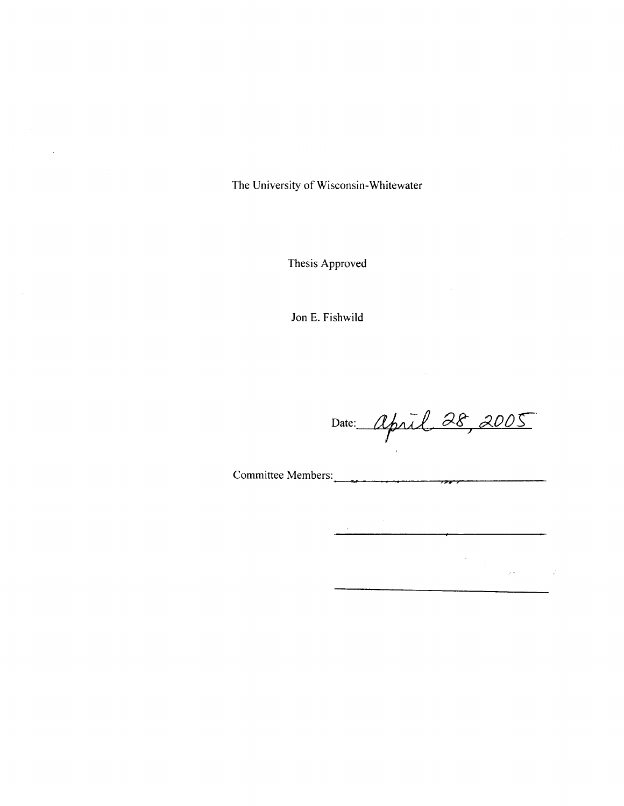The University of Wisconsin-Whitewater

 $\sim$ 

Thesis Approved

Jon E. Fishwild

Date: April 28, 2005

 $\frac{1}{2} \sum_{i=1}^n \frac{1}{2} \sum_{j=1}^n \frac{1}{2} \sum_{j=1}^n \frac{1}{2} \sum_{j=1}^n \frac{1}{2} \sum_{j=1}^n \frac{1}{2} \sum_{j=1}^n \frac{1}{2} \sum_{j=1}^n \frac{1}{2} \sum_{j=1}^n \frac{1}{2} \sum_{j=1}^n \frac{1}{2} \sum_{j=1}^n \frac{1}{2} \sum_{j=1}^n \frac{1}{2} \sum_{j=1}^n \frac{1}{2} \sum_{j=1}^n \frac{1}{2} \sum_{j=$ 

 $\sim 2.8$  and  $\sim 1$ 

Committee Members: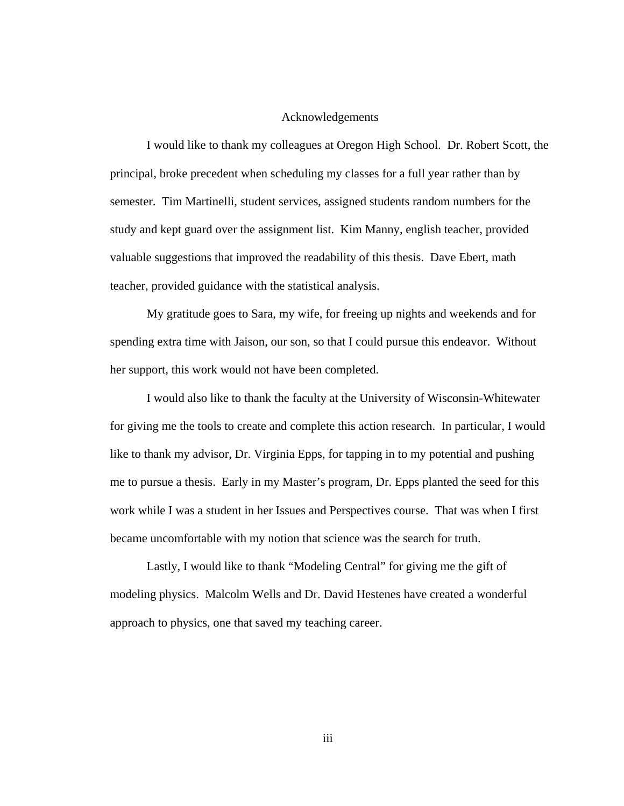# Acknowledgements

I would like to thank my colleagues at Oregon High School. Dr. Robert Scott, the principal, broke precedent when scheduling my classes for a full year rather than by semester. Tim Martinelli, student services, assigned students random numbers for the study and kept guard over the assignment list. Kim Manny, english teacher, provided valuable suggestions that improved the readability of this thesis. Dave Ebert, math teacher, provided guidance with the statistical analysis.

My gratitude goes to Sara, my wife, for freeing up nights and weekends and for spending extra time with Jaison, our son, so that I could pursue this endeavor. Without her support, this work would not have been completed.

I would also like to thank the faculty at the University of Wisconsin-Whitewater for giving me the tools to create and complete this action research. In particular, I would like to thank my advisor, Dr. Virginia Epps, for tapping in to my potential and pushing me to pursue a thesis. Early in my Master's program, Dr. Epps planted the seed for this work while I was a student in her Issues and Perspectives course. That was when I first became uncomfortable with my notion that science was the search for truth.

Lastly, I would like to thank "Modeling Central" for giving me the gift of modeling physics. Malcolm Wells and Dr. David Hestenes have created a wonderful approach to physics, one that saved my teaching career.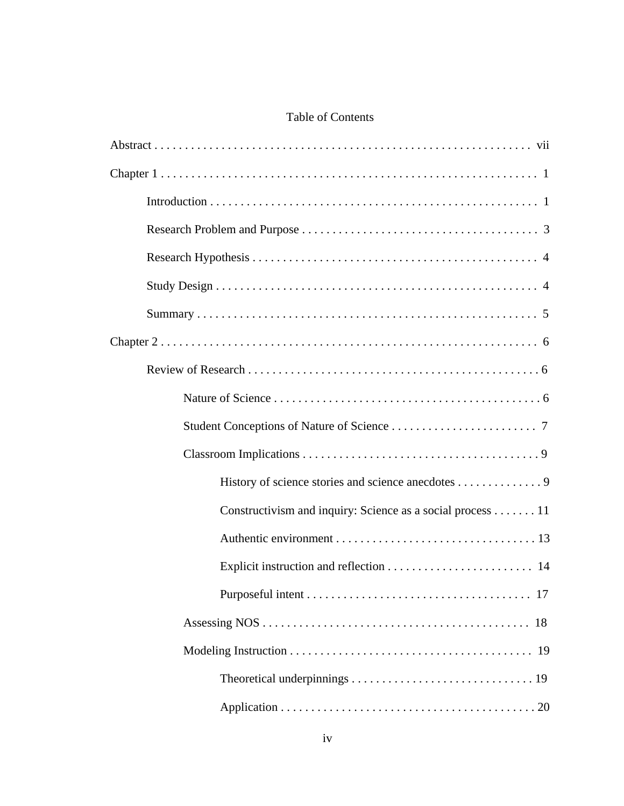# Table of Contents

| History of science stories and science anecdotes 9         |
|------------------------------------------------------------|
| Constructivism and inquiry: Science as a social process 11 |
|                                                            |
|                                                            |
|                                                            |
|                                                            |
|                                                            |
|                                                            |
|                                                            |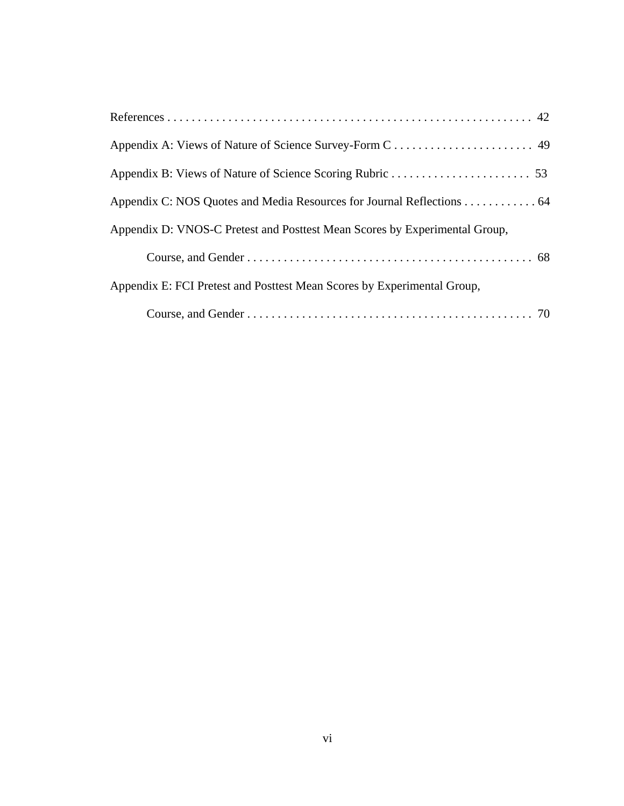| Appendix D: VNOS-C Pretest and Posttest Mean Scores by Experimental Group, |
|----------------------------------------------------------------------------|
|                                                                            |
| Appendix E: FCI Pretest and Posttest Mean Scores by Experimental Group,    |
|                                                                            |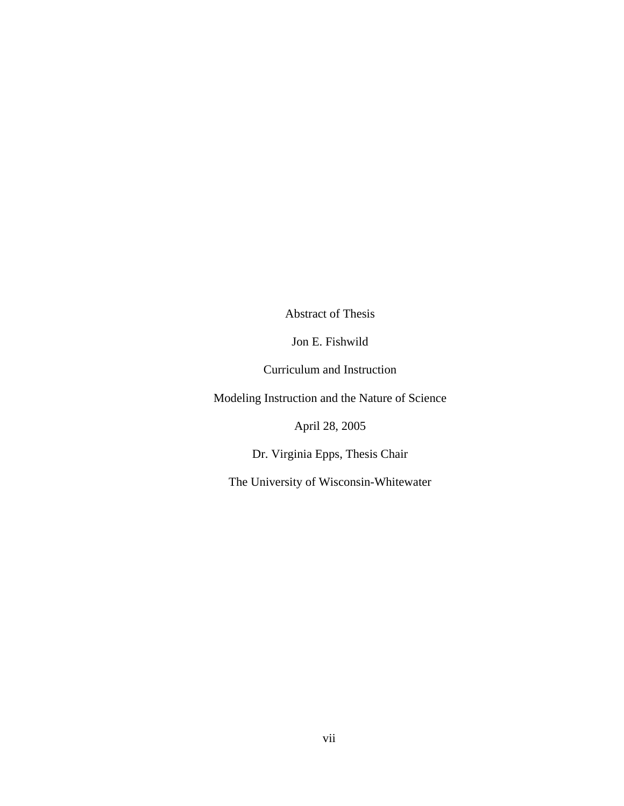Abstract of Thesis

Jon E. Fishwild

Curriculum and Instruction

Modeling Instruction and the Nature of Science

April 28, 2005

Dr. Virginia Epps, Thesis Chair

The University of Wisconsin-Whitewater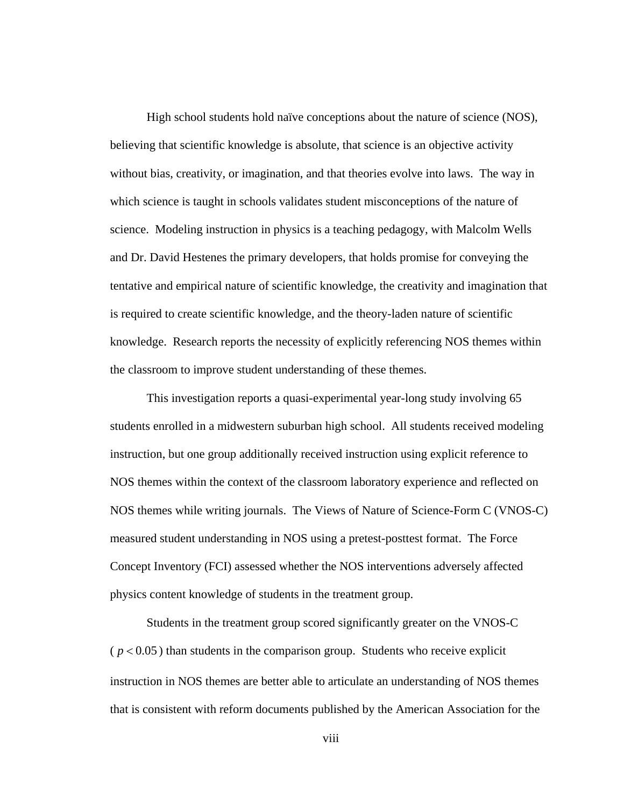High school students hold naïve conceptions about the nature of science (NOS), believing that scientific knowledge is absolute, that science is an objective activity without bias, creativity, or imagination, and that theories evolve into laws. The way in which science is taught in schools validates student misconceptions of the nature of science. Modeling instruction in physics is a teaching pedagogy, with Malcolm Wells and Dr. David Hestenes the primary developers, that holds promise for conveying the tentative and empirical nature of scientific knowledge, the creativity and imagination that is required to create scientific knowledge, and the theory-laden nature of scientific knowledge. Research reports the necessity of explicitly referencing NOS themes within the classroom to improve student understanding of these themes.

This investigation reports a quasi-experimental year-long study involving 65 students enrolled in a midwestern suburban high school. All students received modeling instruction, but one group additionally received instruction using explicit reference to NOS themes within the context of the classroom laboratory experience and reflected on NOS themes while writing journals. The Views of Nature of Science-Form C (VNOS-C) measured student understanding in NOS using a pretest-posttest format. The Force Concept Inventory (FCI) assessed whether the NOS interventions adversely affected physics content knowledge of students in the treatment group.

 Students in the treatment group scored significantly greater on the VNOS-C  $(p < 0.05)$  than students in the comparison group. Students who receive explicit instruction in NOS themes are better able to articulate an understanding of NOS themes that is consistent with reform documents published by the American Association for the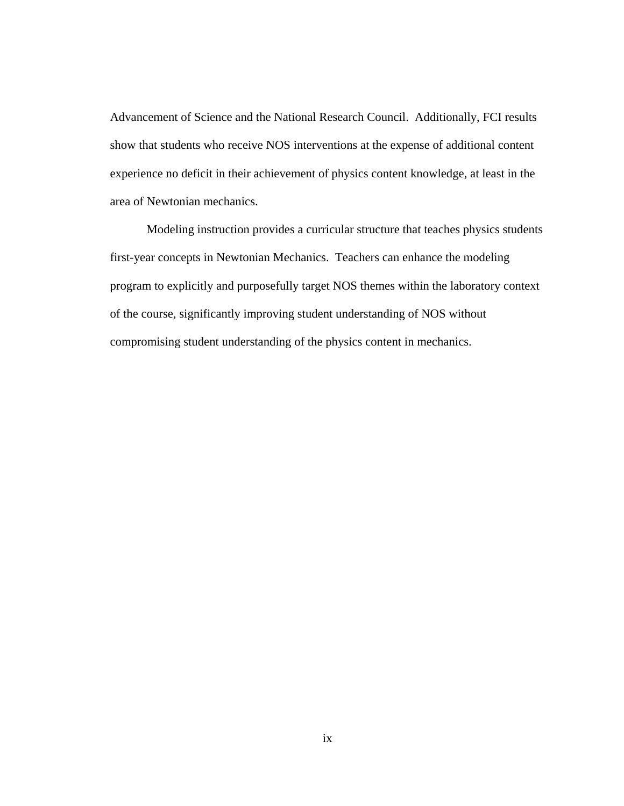Advancement of Science and the National Research Council. Additionally, FCI results show that students who receive NOS interventions at the expense of additional content experience no deficit in their achievement of physics content knowledge, at least in the area of Newtonian mechanics.

 Modeling instruction provides a curricular structure that teaches physics students first-year concepts in Newtonian Mechanics. Teachers can enhance the modeling program to explicitly and purposefully target NOS themes within the laboratory context of the course, significantly improving student understanding of NOS without compromising student understanding of the physics content in mechanics.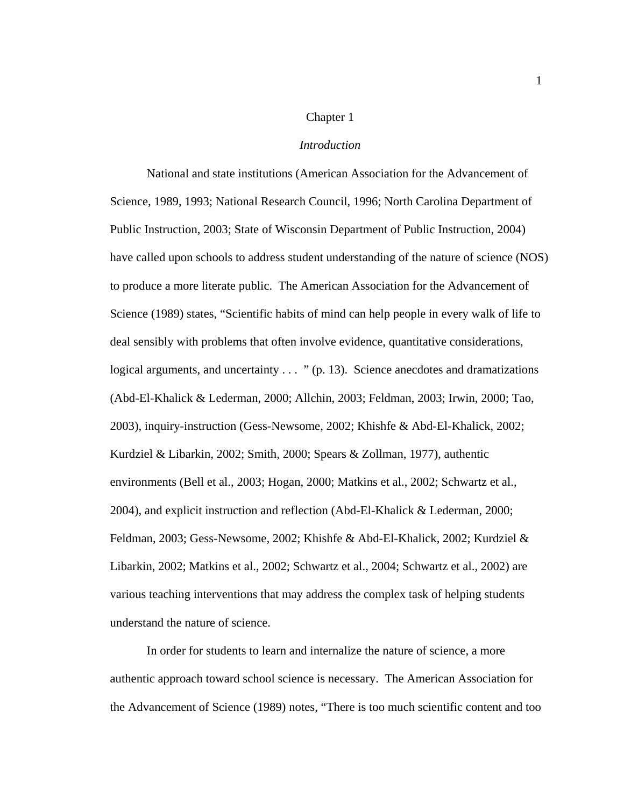## Chapter 1

#### *Introduction*

 National and state institutions (American Association for the Advancement of Science, 1989, 1993; National Research Council, 1996; North Carolina Department of Public Instruction, 2003; State of Wisconsin Department of Public Instruction, 2004) have called upon schools to address student understanding of the nature of science (NOS) to produce a more literate public. The American Association for the Advancement of Science (1989) states, "Scientific habits of mind can help people in every walk of life to deal sensibly with problems that often involve evidence, quantitative considerations, logical arguments, and uncertainty  $\ldots$  " (p. 13). Science anecdotes and dramatizations (Abd-El-Khalick & Lederman, 2000; Allchin, 2003; Feldman, 2003; Irwin, 2000; Tao, 2003), inquiry-instruction (Gess-Newsome, 2002; Khishfe & Abd-El-Khalick, 2002; Kurdziel & Libarkin, 2002; Smith, 2000; Spears & Zollman, 1977), authentic environments (Bell et al., 2003; Hogan, 2000; Matkins et al., 2002; Schwartz et al., 2004), and explicit instruction and reflection (Abd-El-Khalick & Lederman, 2000; Feldman, 2003; Gess-Newsome, 2002; Khishfe & Abd-El-Khalick, 2002; Kurdziel & Libarkin, 2002; Matkins et al., 2002; Schwartz et al., 2004; Schwartz et al., 2002) are various teaching interventions that may address the complex task of helping students understand the nature of science.

In order for students to learn and internalize the nature of science, a more authentic approach toward school science is necessary. The American Association for the Advancement of Science (1989) notes, "There is too much scientific content and too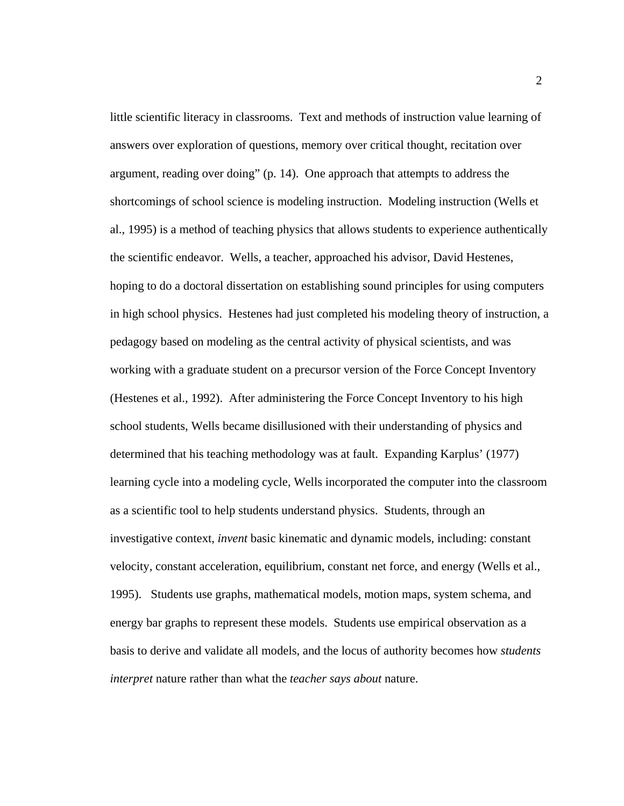little scientific literacy in classrooms. Text and methods of instruction value learning of answers over exploration of questions, memory over critical thought, recitation over argument, reading over doing" (p. 14). One approach that attempts to address the shortcomings of school science is modeling instruction. Modeling instruction (Wells et al., 1995) is a method of teaching physics that allows students to experience authentically the scientific endeavor. Wells, a teacher, approached his advisor, David Hestenes, hoping to do a doctoral dissertation on establishing sound principles for using computers in high school physics. Hestenes had just completed his modeling theory of instruction, a pedagogy based on modeling as the central activity of physical scientists, and was working with a graduate student on a precursor version of the Force Concept Inventory (Hestenes et al., 1992). After administering the Force Concept Inventory to his high school students, Wells became disillusioned with their understanding of physics and determined that his teaching methodology was at fault. Expanding Karplus' (1977) learning cycle into a modeling cycle, Wells incorporated the computer into the classroom as a scientific tool to help students understand physics. Students, through an investigative context, *invent* basic kinematic and dynamic models, including: constant velocity, constant acceleration, equilibrium, constant net force, and energy (Wells et al., 1995). Students use graphs, mathematical models, motion maps, system schema, and energy bar graphs to represent these models. Students use empirical observation as a basis to derive and validate all models, and the locus of authority becomes how *students interpret* nature rather than what the *teacher says about* nature.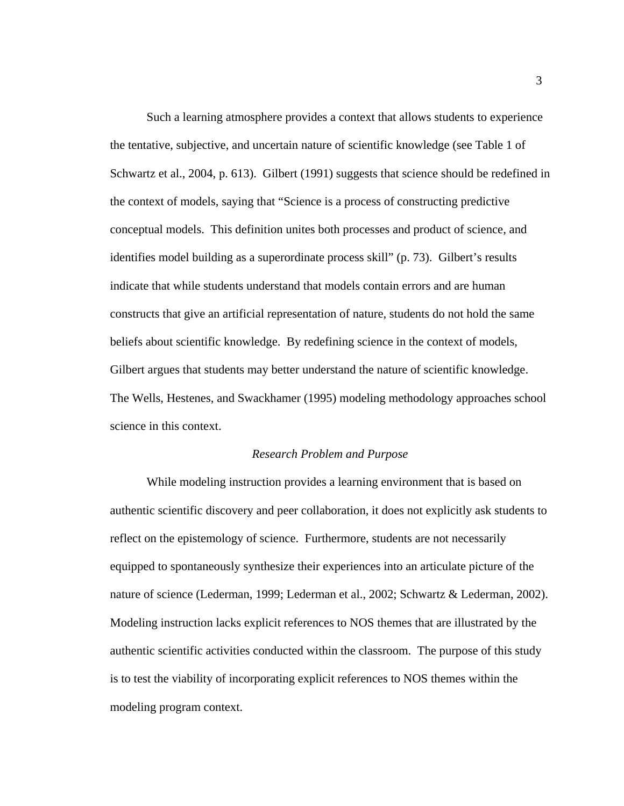Such a learning atmosphere provides a context that allows students to experience the tentative, subjective, and uncertain nature of scientific knowledge (see Table 1 of Schwartz et al., 2004, p. 613). Gilbert (1991) suggests that science should be redefined in the context of models, saying that "Science is a process of constructing predictive conceptual models. This definition unites both processes and product of science, and identifies model building as a superordinate process skill" (p. 73). Gilbert's results indicate that while students understand that models contain errors and are human constructs that give an artificial representation of nature, students do not hold the same beliefs about scientific knowledge. By redefining science in the context of models, Gilbert argues that students may better understand the nature of scientific knowledge. The Wells, Hestenes, and Swackhamer (1995) modeling methodology approaches school science in this context.

# *Research Problem and Purpose*

While modeling instruction provides a learning environment that is based on authentic scientific discovery and peer collaboration, it does not explicitly ask students to reflect on the epistemology of science. Furthermore, students are not necessarily equipped to spontaneously synthesize their experiences into an articulate picture of the nature of science (Lederman, 1999; Lederman et al., 2002; Schwartz & Lederman, 2002). Modeling instruction lacks explicit references to NOS themes that are illustrated by the authentic scientific activities conducted within the classroom. The purpose of this study is to test the viability of incorporating explicit references to NOS themes within the modeling program context.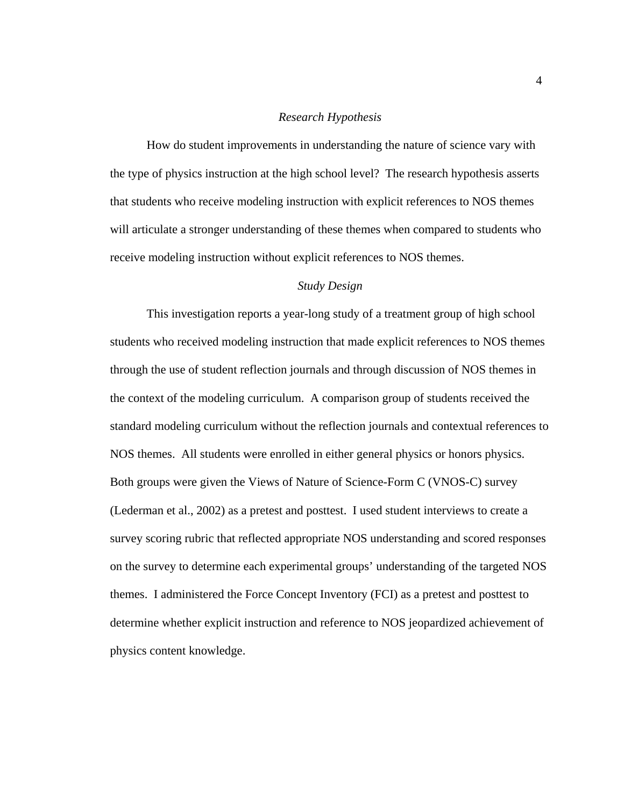## *Research Hypothesis*

How do student improvements in understanding the nature of science vary with the type of physics instruction at the high school level? The research hypothesis asserts that students who receive modeling instruction with explicit references to NOS themes will articulate a stronger understanding of these themes when compared to students who receive modeling instruction without explicit references to NOS themes.

# *Study Design*

This investigation reports a year-long study of a treatment group of high school students who received modeling instruction that made explicit references to NOS themes through the use of student reflection journals and through discussion of NOS themes in the context of the modeling curriculum. A comparison group of students received the standard modeling curriculum without the reflection journals and contextual references to NOS themes. All students were enrolled in either general physics or honors physics. Both groups were given the Views of Nature of Science-Form C (VNOS-C) survey (Lederman et al., 2002) as a pretest and posttest. I used student interviews to create a survey scoring rubric that reflected appropriate NOS understanding and scored responses on the survey to determine each experimental groups' understanding of the targeted NOS themes. I administered the Force Concept Inventory (FCI) as a pretest and posttest to determine whether explicit instruction and reference to NOS jeopardized achievement of physics content knowledge.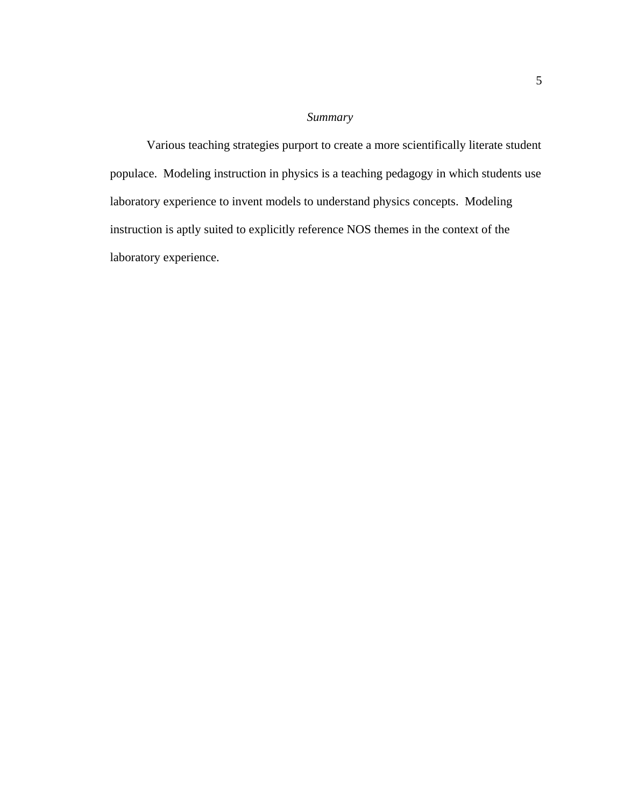# *Summary*

 Various teaching strategies purport to create a more scientifically literate student populace. Modeling instruction in physics is a teaching pedagogy in which students use laboratory experience to invent models to understand physics concepts. Modeling instruction is aptly suited to explicitly reference NOS themes in the context of the laboratory experience.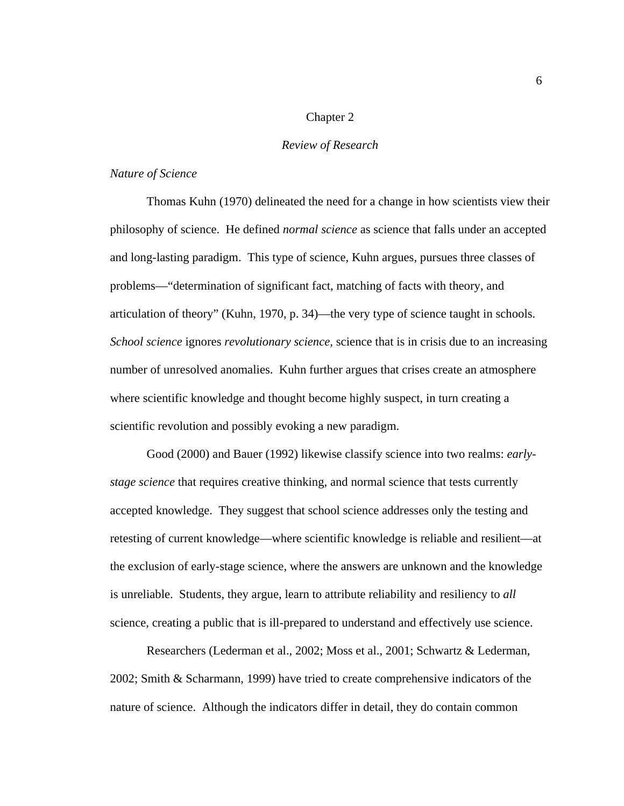# Chapter 2

# *Review of Research*

# *Nature of Science*

 Thomas Kuhn (1970) delineated the need for a change in how scientists view their philosophy of science. He defined *normal science* as science that falls under an accepted and long-lasting paradigm. This type of science, Kuhn argues, pursues three classes of problems—"determination of significant fact, matching of facts with theory, and articulation of theory" (Kuhn, 1970, p. 34)—the very type of science taught in schools. *School science* ignores *revolutionary science,* science that is in crisis due to an increasing number of unresolved anomalies. Kuhn further argues that crises create an atmosphere where scientific knowledge and thought become highly suspect, in turn creating a scientific revolution and possibly evoking a new paradigm.

Good (2000) and Bauer (1992) likewise classify science into two realms: *earlystage science* that requires creative thinking, and normal science that tests currently accepted knowledge. They suggest that school science addresses only the testing and retesting of current knowledge—where scientific knowledge is reliable and resilient—at the exclusion of early-stage science, where the answers are unknown and the knowledge is unreliable. Students, they argue, learn to attribute reliability and resiliency to *all* science, creating a public that is ill-prepared to understand and effectively use science.

 Researchers (Lederman et al., 2002; Moss et al., 2001; Schwartz & Lederman, 2002; Smith & Scharmann, 1999) have tried to create comprehensive indicators of the nature of science. Although the indicators differ in detail, they do contain common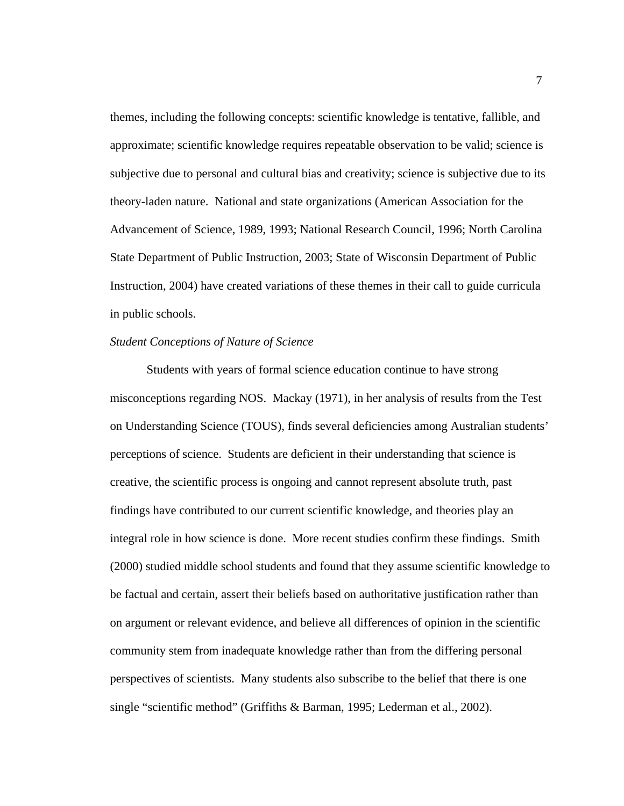themes, including the following concepts: scientific knowledge is tentative, fallible, and approximate; scientific knowledge requires repeatable observation to be valid; science is subjective due to personal and cultural bias and creativity; science is subjective due to its theory-laden nature. National and state organizations (American Association for the Advancement of Science, 1989, 1993; National Research Council, 1996; North Carolina State Department of Public Instruction, 2003; State of Wisconsin Department of Public Instruction, 2004) have created variations of these themes in their call to guide curricula in public schools.

# *Student Conceptions of Nature of Science*

Students with years of formal science education continue to have strong misconceptions regarding NOS. Mackay (1971), in her analysis of results from the Test on Understanding Science (TOUS), finds several deficiencies among Australian students' perceptions of science. Students are deficient in their understanding that science is creative, the scientific process is ongoing and cannot represent absolute truth, past findings have contributed to our current scientific knowledge, and theories play an integral role in how science is done. More recent studies confirm these findings. Smith (2000) studied middle school students and found that they assume scientific knowledge to be factual and certain, assert their beliefs based on authoritative justification rather than on argument or relevant evidence, and believe all differences of opinion in the scientific community stem from inadequate knowledge rather than from the differing personal perspectives of scientists. Many students also subscribe to the belief that there is one single "scientific method" (Griffiths & Barman, 1995; Lederman et al., 2002).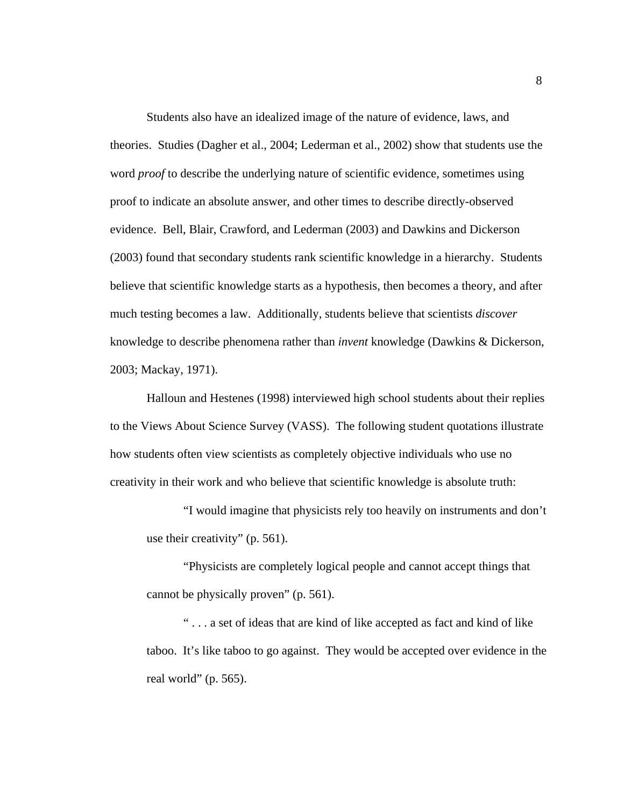Students also have an idealized image of the nature of evidence, laws, and theories. Studies (Dagher et al., 2004; Lederman et al., 2002) show that students use the word *proof* to describe the underlying nature of scientific evidence, sometimes using proof to indicate an absolute answer, and other times to describe directly-observed evidence. Bell, Blair, Crawford, and Lederman (2003) and Dawkins and Dickerson (2003) found that secondary students rank scientific knowledge in a hierarchy. Students believe that scientific knowledge starts as a hypothesis, then becomes a theory, and after much testing becomes a law. Additionally, students believe that scientists *discover*  knowledge to describe phenomena rather than *invent* knowledge (Dawkins & Dickerson, 2003; Mackay, 1971).

Halloun and Hestenes (1998) interviewed high school students about their replies to the Views About Science Survey (VASS). The following student quotations illustrate how students often view scientists as completely objective individuals who use no creativity in their work and who believe that scientific knowledge is absolute truth:

"I would imagine that physicists rely too heavily on instruments and don't use their creativity" (p. 561).

"Physicists are completely logical people and cannot accept things that cannot be physically proven" (p. 561).

" . . . a set of ideas that are kind of like accepted as fact and kind of like taboo. It's like taboo to go against. They would be accepted over evidence in the real world" (p. 565).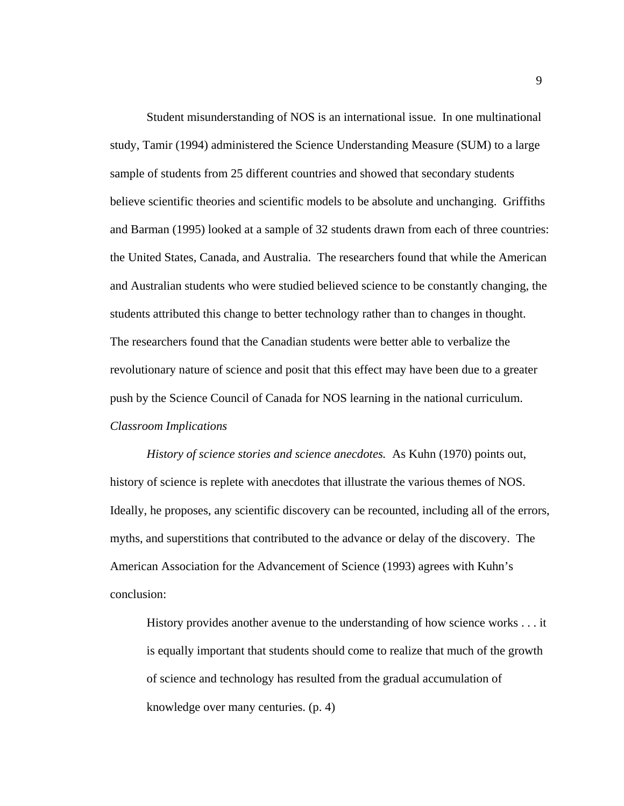Student misunderstanding of NOS is an international issue. In one multinational study, Tamir (1994) administered the Science Understanding Measure (SUM) to a large sample of students from 25 different countries and showed that secondary students believe scientific theories and scientific models to be absolute and unchanging. Griffiths and Barman (1995) looked at a sample of 32 students drawn from each of three countries: the United States, Canada, and Australia. The researchers found that while the American and Australian students who were studied believed science to be constantly changing, the students attributed this change to better technology rather than to changes in thought. The researchers found that the Canadian students were better able to verbalize the revolutionary nature of science and posit that this effect may have been due to a greater push by the Science Council of Canada for NOS learning in the national curriculum. *Classroom Implications* 

*History of science stories and science anecdotes.* As Kuhn (1970) points out, history of science is replete with anecdotes that illustrate the various themes of NOS. Ideally, he proposes, any scientific discovery can be recounted, including all of the errors, myths, and superstitions that contributed to the advance or delay of the discovery. The American Association for the Advancement of Science (1993) agrees with Kuhn's conclusion:

History provides another avenue to the understanding of how science works . . . it is equally important that students should come to realize that much of the growth of science and technology has resulted from the gradual accumulation of knowledge over many centuries. (p. 4)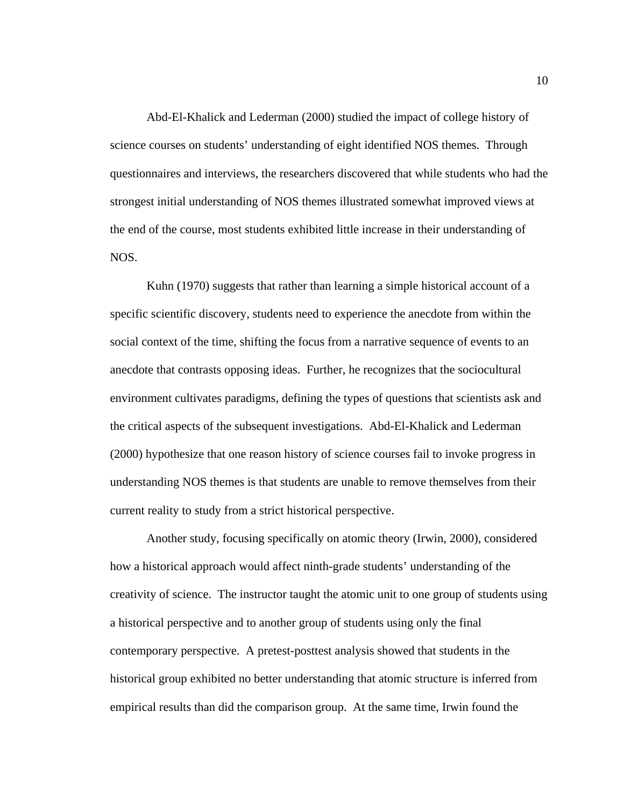Abd-El-Khalick and Lederman (2000) studied the impact of college history of science courses on students' understanding of eight identified NOS themes. Through questionnaires and interviews, the researchers discovered that while students who had the strongest initial understanding of NOS themes illustrated somewhat improved views at the end of the course, most students exhibited little increase in their understanding of NOS.

Kuhn (1970) suggests that rather than learning a simple historical account of a specific scientific discovery, students need to experience the anecdote from within the social context of the time, shifting the focus from a narrative sequence of events to an anecdote that contrasts opposing ideas. Further, he recognizes that the sociocultural environment cultivates paradigms, defining the types of questions that scientists ask and the critical aspects of the subsequent investigations. Abd-El-Khalick and Lederman (2000) hypothesize that one reason history of science courses fail to invoke progress in understanding NOS themes is that students are unable to remove themselves from their current reality to study from a strict historical perspective.

 Another study, focusing specifically on atomic theory (Irwin, 2000), considered how a historical approach would affect ninth-grade students' understanding of the creativity of science. The instructor taught the atomic unit to one group of students using a historical perspective and to another group of students using only the final contemporary perspective. A pretest-posttest analysis showed that students in the historical group exhibited no better understanding that atomic structure is inferred from empirical results than did the comparison group. At the same time, Irwin found the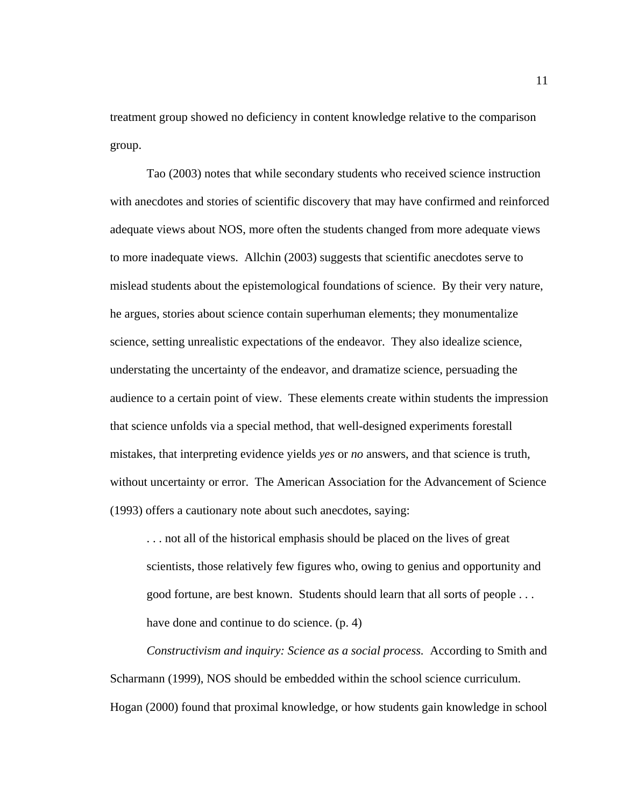treatment group showed no deficiency in content knowledge relative to the comparison group.

 Tao (2003) notes that while secondary students who received science instruction with anecdotes and stories of scientific discovery that may have confirmed and reinforced adequate views about NOS, more often the students changed from more adequate views to more inadequate views. Allchin (2003) suggests that scientific anecdotes serve to mislead students about the epistemological foundations of science. By their very nature, he argues, stories about science contain superhuman elements; they monumentalize science, setting unrealistic expectations of the endeavor. They also idealize science, understating the uncertainty of the endeavor, and dramatize science, persuading the audience to a certain point of view. These elements create within students the impression that science unfolds via a special method, that well-designed experiments forestall mistakes, that interpreting evidence yields *yes* or *no* answers, and that science is truth, without uncertainty or error. The American Association for the Advancement of Science (1993) offers a cautionary note about such anecdotes, saying:

. . . not all of the historical emphasis should be placed on the lives of great scientists, those relatively few figures who, owing to genius and opportunity and good fortune, are best known. Students should learn that all sorts of people . . . have done and continue to do science. (p. 4)

*Constructivism and inquiry: Science as a social process.* According to Smith and Scharmann (1999), NOS should be embedded within the school science curriculum. Hogan (2000) found that proximal knowledge, or how students gain knowledge in school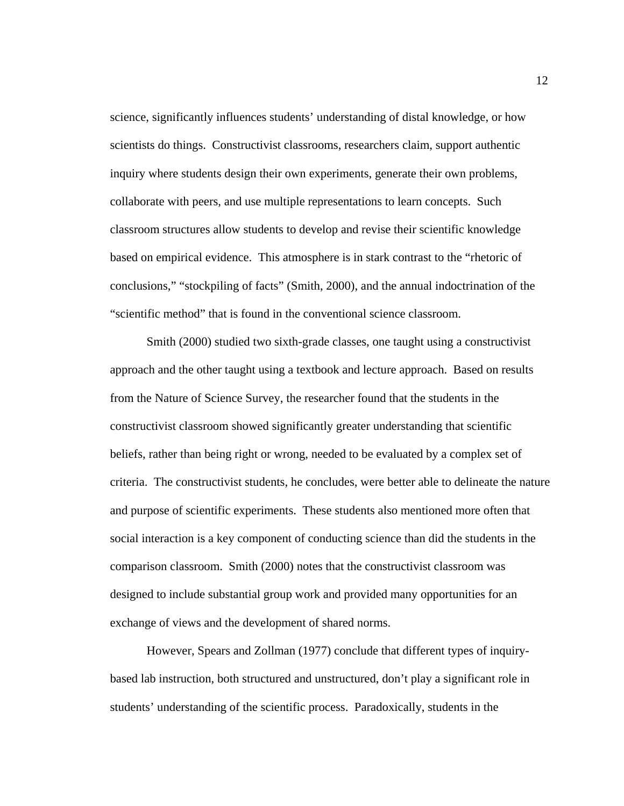science, significantly influences students' understanding of distal knowledge, or how scientists do things. Constructivist classrooms, researchers claim, support authentic inquiry where students design their own experiments, generate their own problems, collaborate with peers, and use multiple representations to learn concepts. Such classroom structures allow students to develop and revise their scientific knowledge based on empirical evidence. This atmosphere is in stark contrast to the "rhetoric of conclusions," "stockpiling of facts" (Smith, 2000), and the annual indoctrination of the "scientific method" that is found in the conventional science classroom.

 Smith (2000) studied two sixth-grade classes, one taught using a constructivist approach and the other taught using a textbook and lecture approach. Based on results from the Nature of Science Survey, the researcher found that the students in the constructivist classroom showed significantly greater understanding that scientific beliefs, rather than being right or wrong, needed to be evaluated by a complex set of criteria. The constructivist students, he concludes, were better able to delineate the nature and purpose of scientific experiments. These students also mentioned more often that social interaction is a key component of conducting science than did the students in the comparison classroom. Smith (2000) notes that the constructivist classroom was designed to include substantial group work and provided many opportunities for an exchange of views and the development of shared norms.

However, Spears and Zollman (1977) conclude that different types of inquirybased lab instruction, both structured and unstructured, don't play a significant role in students' understanding of the scientific process. Paradoxically, students in the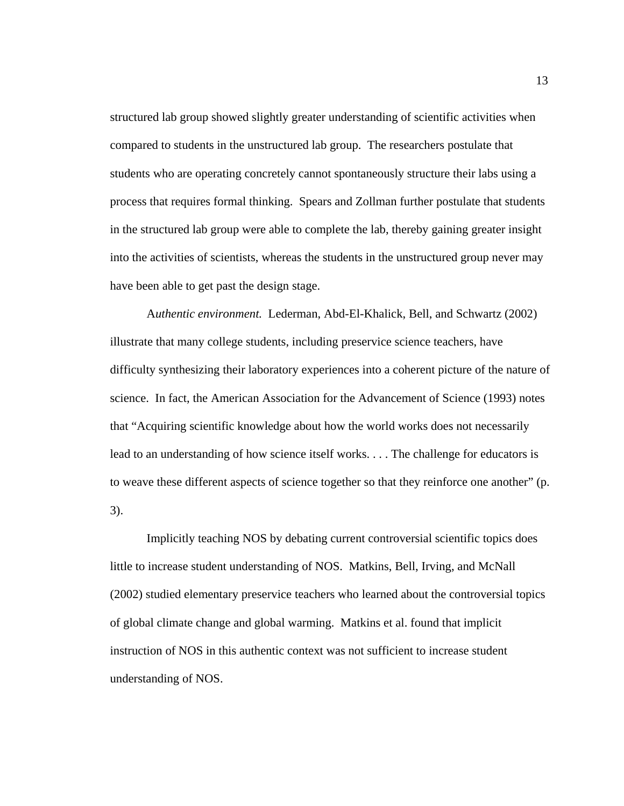structured lab group showed slightly greater understanding of scientific activities when compared to students in the unstructured lab group. The researchers postulate that students who are operating concretely cannot spontaneously structure their labs using a process that requires formal thinking. Spears and Zollman further postulate that students in the structured lab group were able to complete the lab, thereby gaining greater insight into the activities of scientists, whereas the students in the unstructured group never may have been able to get past the design stage.

A*uthentic environment.* Lederman, Abd-El-Khalick, Bell, and Schwartz (2002) illustrate that many college students, including preservice science teachers, have difficulty synthesizing their laboratory experiences into a coherent picture of the nature of science. In fact, the American Association for the Advancement of Science (1993) notes that "Acquiring scientific knowledge about how the world works does not necessarily lead to an understanding of how science itself works. . . . The challenge for educators is to weave these different aspects of science together so that they reinforce one another" (p. 3).

Implicitly teaching NOS by debating current controversial scientific topics does little to increase student understanding of NOS. Matkins, Bell, Irving, and McNall (2002) studied elementary preservice teachers who learned about the controversial topics of global climate change and global warming. Matkins et al. found that implicit instruction of NOS in this authentic context was not sufficient to increase student understanding of NOS.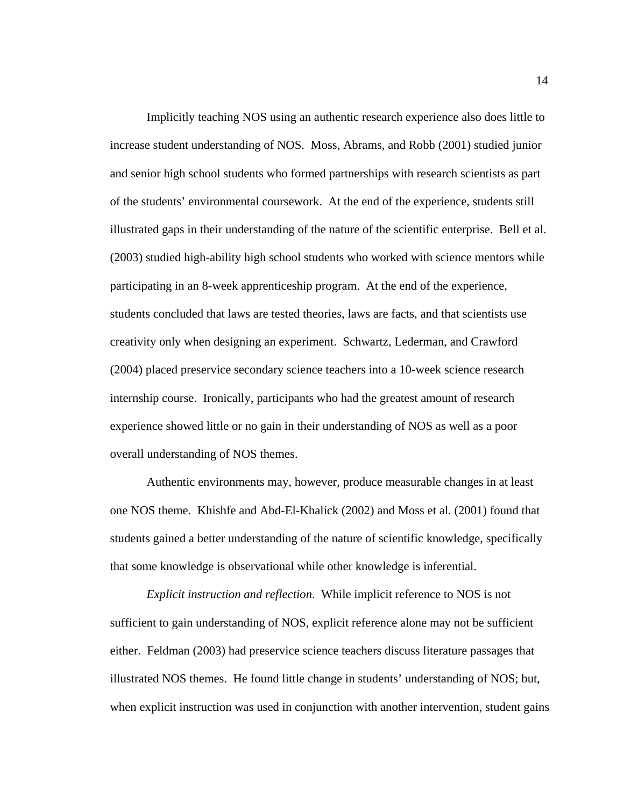Implicitly teaching NOS using an authentic research experience also does little to increase student understanding of NOS. Moss, Abrams, and Robb (2001) studied junior and senior high school students who formed partnerships with research scientists as part of the students' environmental coursework. At the end of the experience, students still illustrated gaps in their understanding of the nature of the scientific enterprise. Bell et al. (2003) studied high-ability high school students who worked with science mentors while participating in an 8-week apprenticeship program. At the end of the experience, students concluded that laws are tested theories, laws are facts, and that scientists use creativity only when designing an experiment. Schwartz, Lederman, and Crawford (2004) placed preservice secondary science teachers into a 10-week science research internship course. Ironically, participants who had the greatest amount of research experience showed little or no gain in their understanding of NOS as well as a poor overall understanding of NOS themes.

Authentic environments may, however, produce measurable changes in at least one NOS theme. Khishfe and Abd-El-Khalick (2002) and Moss et al. (2001) found that students gained a better understanding of the nature of scientific knowledge, specifically that some knowledge is observational while other knowledge is inferential.

*Explicit instruction and reflection*. While implicit reference to NOS is not sufficient to gain understanding of NOS, explicit reference alone may not be sufficient either. Feldman (2003) had preservice science teachers discuss literature passages that illustrated NOS themes. He found little change in students' understanding of NOS; but, when explicit instruction was used in conjunction with another intervention, student gains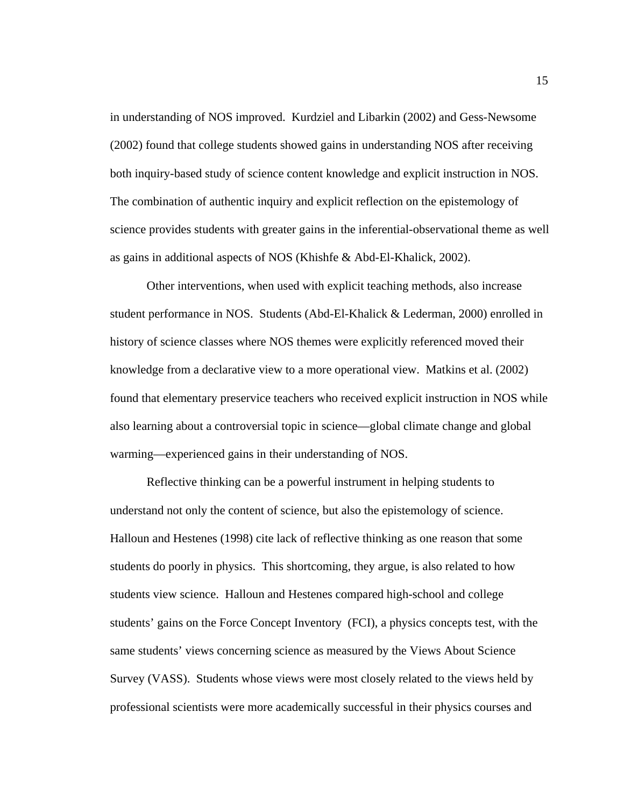in understanding of NOS improved. Kurdziel and Libarkin (2002) and Gess-Newsome (2002) found that college students showed gains in understanding NOS after receiving both inquiry-based study of science content knowledge and explicit instruction in NOS. The combination of authentic inquiry and explicit reflection on the epistemology of science provides students with greater gains in the inferential-observational theme as well as gains in additional aspects of NOS (Khishfe & Abd-El-Khalick, 2002).

Other interventions, when used with explicit teaching methods, also increase student performance in NOS. Students (Abd-El-Khalick & Lederman, 2000) enrolled in history of science classes where NOS themes were explicitly referenced moved their knowledge from a declarative view to a more operational view. Matkins et al. (2002) found that elementary preservice teachers who received explicit instruction in NOS while also learning about a controversial topic in science—global climate change and global warming—experienced gains in their understanding of NOS.

Reflective thinking can be a powerful instrument in helping students to understand not only the content of science, but also the epistemology of science. Halloun and Hestenes (1998) cite lack of reflective thinking as one reason that some students do poorly in physics. This shortcoming, they argue, is also related to how students view science. Halloun and Hestenes compared high-school and college students' gains on the Force Concept Inventory (FCI), a physics concepts test, with the same students' views concerning science as measured by the Views About Science Survey (VASS). Students whose views were most closely related to the views held by professional scientists were more academically successful in their physics courses and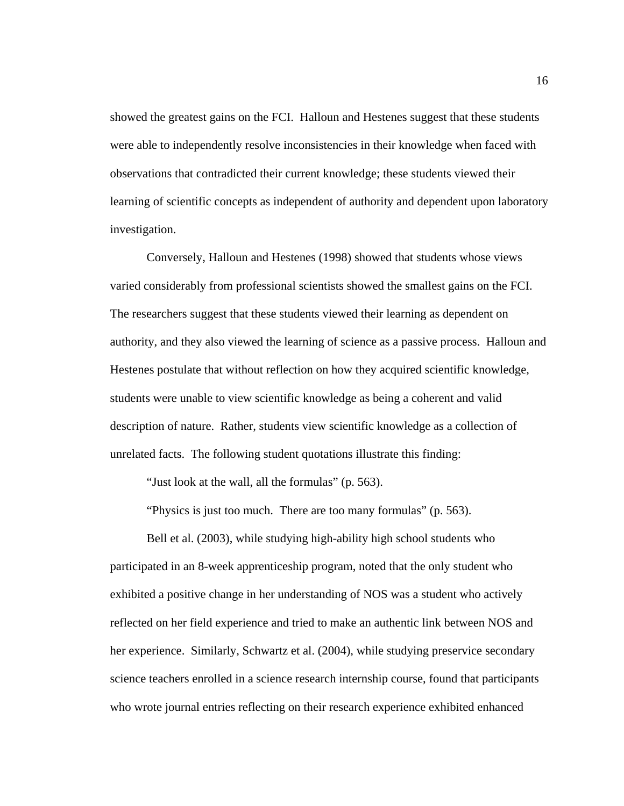showed the greatest gains on the FCI. Halloun and Hestenes suggest that these students were able to independently resolve inconsistencies in their knowledge when faced with observations that contradicted their current knowledge; these students viewed their learning of scientific concepts as independent of authority and dependent upon laboratory investigation.

Conversely, Halloun and Hestenes (1998) showed that students whose views varied considerably from professional scientists showed the smallest gains on the FCI. The researchers suggest that these students viewed their learning as dependent on authority, and they also viewed the learning of science as a passive process. Halloun and Hestenes postulate that without reflection on how they acquired scientific knowledge, students were unable to view scientific knowledge as being a coherent and valid description of nature. Rather, students view scientific knowledge as a collection of unrelated facts. The following student quotations illustrate this finding:

"Just look at the wall, all the formulas" (p. 563).

"Physics is just too much. There are too many formulas" (p. 563).

Bell et al. (2003), while studying high-ability high school students who participated in an 8-week apprenticeship program, noted that the only student who exhibited a positive change in her understanding of NOS was a student who actively reflected on her field experience and tried to make an authentic link between NOS and her experience. Similarly, Schwartz et al. (2004), while studying preservice secondary science teachers enrolled in a science research internship course, found that participants who wrote journal entries reflecting on their research experience exhibited enhanced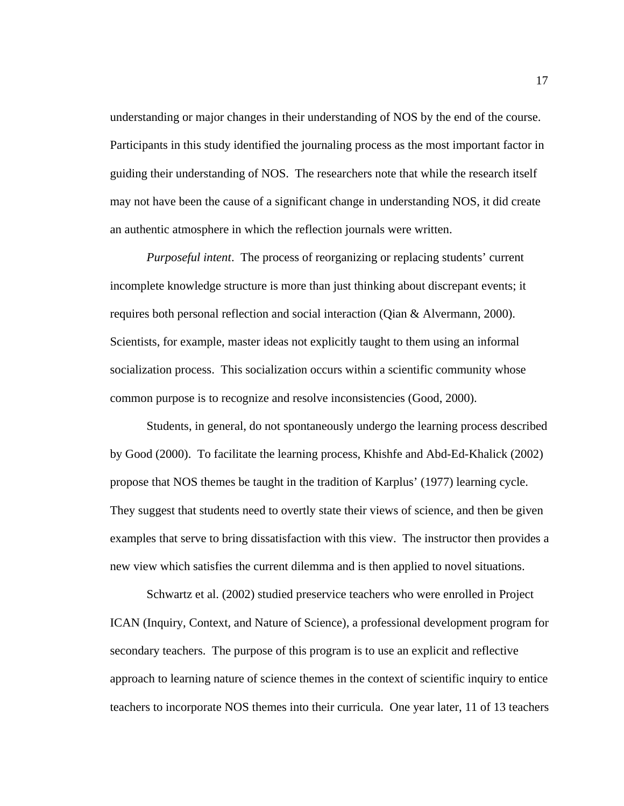understanding or major changes in their understanding of NOS by the end of the course. Participants in this study identified the journaling process as the most important factor in guiding their understanding of NOS. The researchers note that while the research itself may not have been the cause of a significant change in understanding NOS, it did create an authentic atmosphere in which the reflection journals were written.

*Purposeful intent*. The process of reorganizing or replacing students' current incomplete knowledge structure is more than just thinking about discrepant events; it requires both personal reflection and social interaction (Qian & Alvermann, 2000). Scientists, for example, master ideas not explicitly taught to them using an informal socialization process. This socialization occurs within a scientific community whose common purpose is to recognize and resolve inconsistencies (Good, 2000).

Students, in general, do not spontaneously undergo the learning process described by Good (2000). To facilitate the learning process, Khishfe and Abd-Ed-Khalick (2002) propose that NOS themes be taught in the tradition of Karplus' (1977) learning cycle. They suggest that students need to overtly state their views of science, and then be given examples that serve to bring dissatisfaction with this view. The instructor then provides a new view which satisfies the current dilemma and is then applied to novel situations.

Schwartz et al. (2002) studied preservice teachers who were enrolled in Project ICAN (Inquiry, Context, and Nature of Science), a professional development program for secondary teachers. The purpose of this program is to use an explicit and reflective approach to learning nature of science themes in the context of scientific inquiry to entice teachers to incorporate NOS themes into their curricula. One year later, 11 of 13 teachers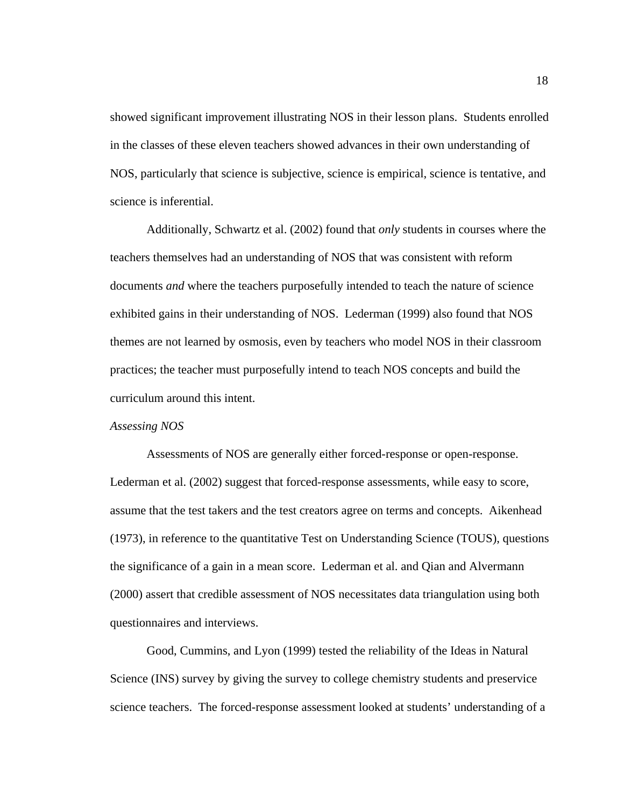showed significant improvement illustrating NOS in their lesson plans. Students enrolled in the classes of these eleven teachers showed advances in their own understanding of NOS, particularly that science is subjective, science is empirical, science is tentative, and science is inferential.

Additionally, Schwartz et al. (2002) found that *only* students in courses where the teachers themselves had an understanding of NOS that was consistent with reform documents *and* where the teachers purposefully intended to teach the nature of science exhibited gains in their understanding of NOS. Lederman (1999) also found that NOS themes are not learned by osmosis, even by teachers who model NOS in their classroom practices; the teacher must purposefully intend to teach NOS concepts and build the curriculum around this intent.

#### *Assessing NOS*

Assessments of NOS are generally either forced-response or open-response. Lederman et al. (2002) suggest that forced-response assessments, while easy to score, assume that the test takers and the test creators agree on terms and concepts. Aikenhead (1973), in reference to the quantitative Test on Understanding Science (TOUS), questions the significance of a gain in a mean score. Lederman et al. and Qian and Alvermann (2000) assert that credible assessment of NOS necessitates data triangulation using both questionnaires and interviews.

Good, Cummins, and Lyon (1999) tested the reliability of the Ideas in Natural Science (INS) survey by giving the survey to college chemistry students and preservice science teachers. The forced-response assessment looked at students' understanding of a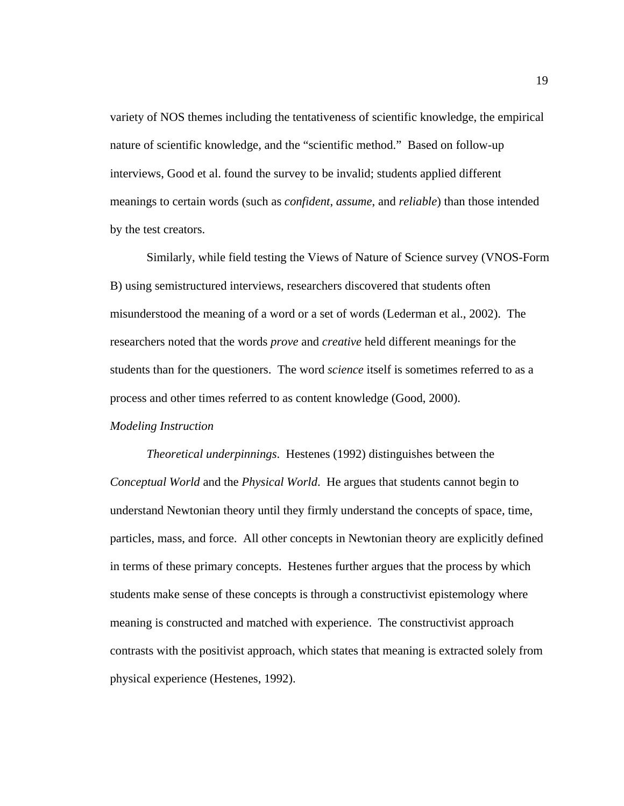variety of NOS themes including the tentativeness of scientific knowledge, the empirical nature of scientific knowledge, and the "scientific method." Based on follow-up interviews, Good et al. found the survey to be invalid; students applied different meanings to certain words (such as *confident*, *assume*, and *reliable*) than those intended by the test creators.

Similarly, while field testing the Views of Nature of Science survey (VNOS-Form B) using semistructured interviews, researchers discovered that students often misunderstood the meaning of a word or a set of words (Lederman et al., 2002). The researchers noted that the words *prove* and *creative* held different meanings for the students than for the questioners. The word *science* itself is sometimes referred to as a process and other times referred to as content knowledge (Good, 2000).

# *Modeling Instruction*

*Theoretical underpinnings*. Hestenes (1992) distinguishes between the *Conceptual World* and the *Physical World*. He argues that students cannot begin to understand Newtonian theory until they firmly understand the concepts of space, time, particles, mass, and force. All other concepts in Newtonian theory are explicitly defined in terms of these primary concepts. Hestenes further argues that the process by which students make sense of these concepts is through a constructivist epistemology where meaning is constructed and matched with experience. The constructivist approach contrasts with the positivist approach, which states that meaning is extracted solely from physical experience (Hestenes, 1992).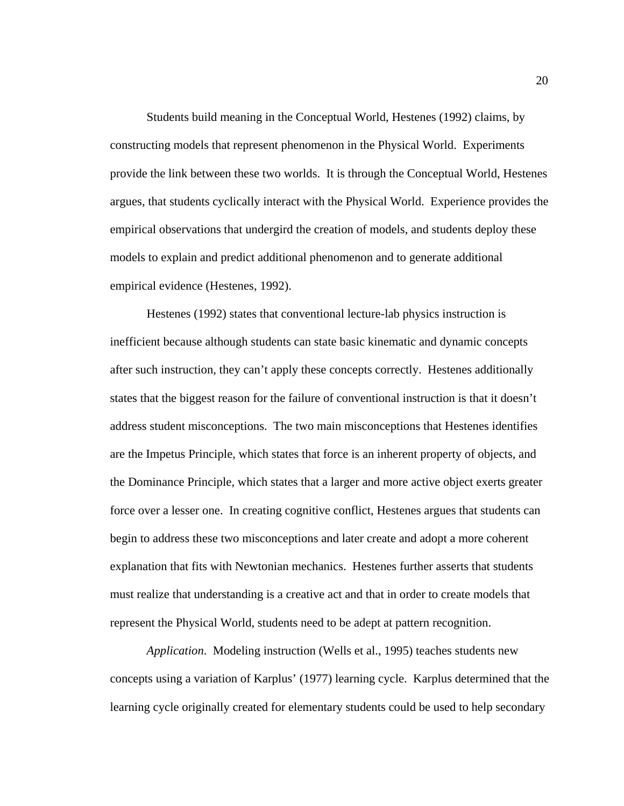Students build meaning in the Conceptual World, Hestenes (1992) claims, by constructing models that represent phenomenon in the Physical World. Experiments provide the link between these two worlds. It is through the Conceptual World, Hestenes argues, that students cyclically interact with the Physical World. Experience provides the empirical observations that undergird the creation of models, and students deploy these models to explain and predict additional phenomenon and to generate additional empirical evidence (Hestenes, 1992).

Hestenes (1992) states that conventional lecture-lab physics instruction is inefficient because although students can state basic kinematic and dynamic concepts after such instruction, they can't apply these concepts correctly. Hestenes additionally states that the biggest reason for the failure of conventional instruction is that it doesn't address student misconceptions. The two main misconceptions that Hestenes identifies are the Impetus Principle, which states that force is an inherent property of objects, and the Dominance Principle, which states that a larger and more active object exerts greater force over a lesser one. In creating cognitive conflict, Hestenes argues that students can begin to address these two misconceptions and later create and adopt a more coherent explanation that fits with Newtonian mechanics. Hestenes further asserts that students must realize that understanding is a creative act and that in order to create models that represent the Physical World, students need to be adept at pattern recognition.

*Application*. Modeling instruction (Wells et al., 1995) teaches students new concepts using a variation of Karplus' (1977) learning cycle. Karplus determined that the learning cycle originally created for elementary students could be used to help secondary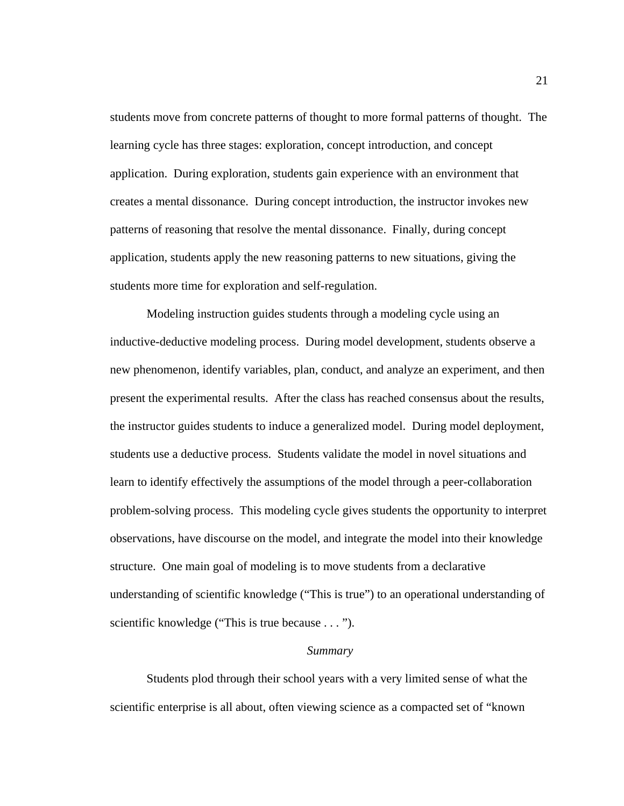students move from concrete patterns of thought to more formal patterns of thought. The learning cycle has three stages: exploration, concept introduction, and concept application. During exploration, students gain experience with an environment that creates a mental dissonance. During concept introduction, the instructor invokes new patterns of reasoning that resolve the mental dissonance. Finally, during concept application, students apply the new reasoning patterns to new situations, giving the students more time for exploration and self-regulation.

Modeling instruction guides students through a modeling cycle using an inductive-deductive modeling process. During model development, students observe a new phenomenon, identify variables, plan, conduct, and analyze an experiment, and then present the experimental results. After the class has reached consensus about the results, the instructor guides students to induce a generalized model. During model deployment, students use a deductive process. Students validate the model in novel situations and learn to identify effectively the assumptions of the model through a peer-collaboration problem-solving process. This modeling cycle gives students the opportunity to interpret observations, have discourse on the model, and integrate the model into their knowledge structure. One main goal of modeling is to move students from a declarative understanding of scientific knowledge ("This is true") to an operational understanding of scientific knowledge ("This is true because . . . ").

### *Summary*

 Students plod through their school years with a very limited sense of what the scientific enterprise is all about, often viewing science as a compacted set of "known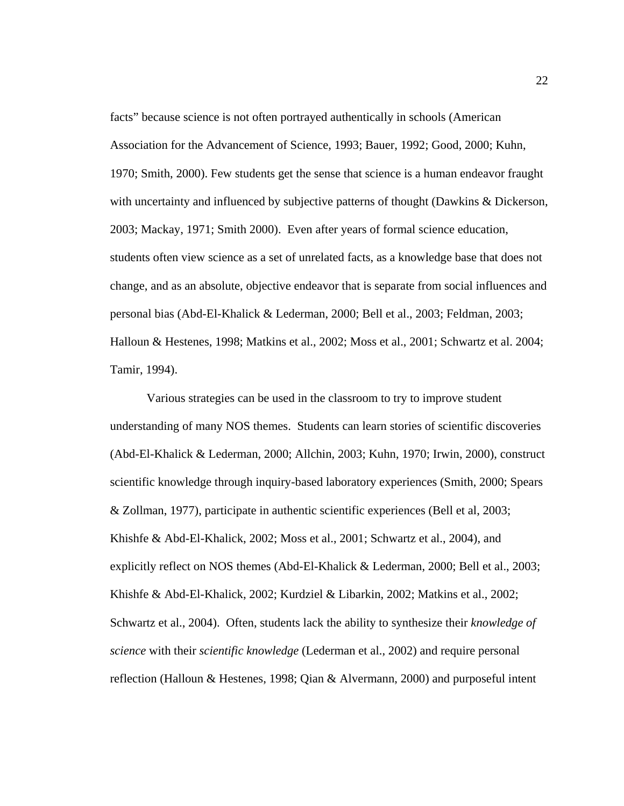facts" because science is not often portrayed authentically in schools (American Association for the Advancement of Science, 1993; Bauer, 1992; Good, 2000; Kuhn, 1970; Smith, 2000). Few students get the sense that science is a human endeavor fraught with uncertainty and influenced by subjective patterns of thought (Dawkins & Dickerson, 2003; Mackay, 1971; Smith 2000). Even after years of formal science education, students often view science as a set of unrelated facts, as a knowledge base that does not change, and as an absolute, objective endeavor that is separate from social influences and personal bias (Abd-El-Khalick & Lederman, 2000; Bell et al., 2003; Feldman, 2003; Halloun & Hestenes, 1998; Matkins et al., 2002; Moss et al., 2001; Schwartz et al. 2004; Tamir, 1994).

Various strategies can be used in the classroom to try to improve student understanding of many NOS themes. Students can learn stories of scientific discoveries (Abd-El-Khalick & Lederman, 2000; Allchin, 2003; Kuhn, 1970; Irwin, 2000), construct scientific knowledge through inquiry-based laboratory experiences (Smith, 2000; Spears & Zollman, 1977), participate in authentic scientific experiences (Bell et al, 2003; Khishfe & Abd-El-Khalick, 2002; Moss et al., 2001; Schwartz et al., 2004), and explicitly reflect on NOS themes (Abd-El-Khalick & Lederman, 2000; Bell et al., 2003; Khishfe & Abd-El-Khalick, 2002; Kurdziel & Libarkin, 2002; Matkins et al., 2002; Schwartz et al., 2004). Often, students lack the ability to synthesize their *knowledge of science* with their *scientific knowledge* (Lederman et al., 2002) and require personal reflection (Halloun & Hestenes, 1998; Qian & Alvermann, 2000) and purposeful intent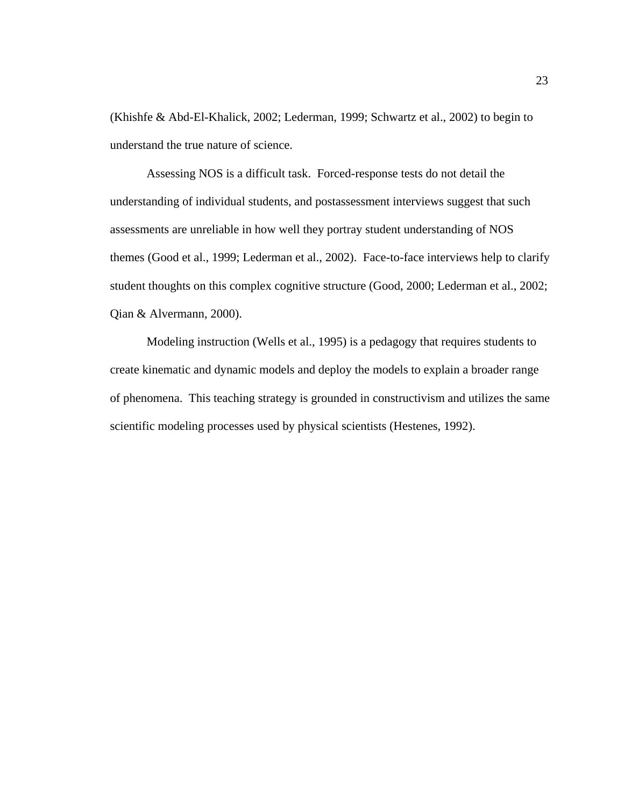(Khishfe & Abd-El-Khalick, 2002; Lederman, 1999; Schwartz et al., 2002) to begin to understand the true nature of science.

Assessing NOS is a difficult task. Forced-response tests do not detail the understanding of individual students, and postassessment interviews suggest that such assessments are unreliable in how well they portray student understanding of NOS themes (Good et al., 1999; Lederman et al., 2002). Face-to-face interviews help to clarify student thoughts on this complex cognitive structure (Good, 2000; Lederman et al., 2002; Qian & Alvermann, 2000).

Modeling instruction (Wells et al., 1995) is a pedagogy that requires students to create kinematic and dynamic models and deploy the models to explain a broader range of phenomena. This teaching strategy is grounded in constructivism and utilizes the same scientific modeling processes used by physical scientists (Hestenes, 1992).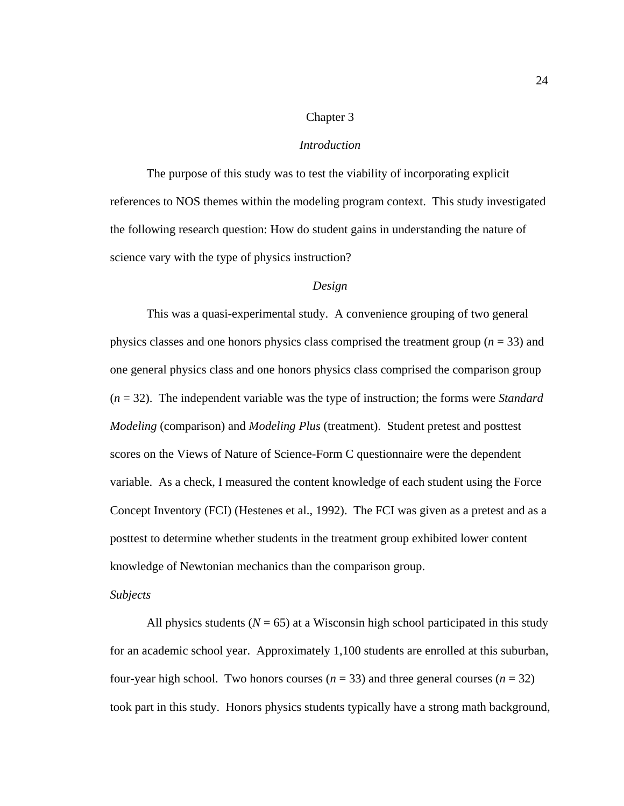# Chapter 3

## *Introduction*

The purpose of this study was to test the viability of incorporating explicit references to NOS themes within the modeling program context. This study investigated the following research question: How do student gains in understanding the nature of science vary with the type of physics instruction?

# *Design*

This was a quasi-experimental study. A convenience grouping of two general physics classes and one honors physics class comprised the treatment group (*n* = 33) and one general physics class and one honors physics class comprised the comparison group (*n* = 32). The independent variable was the type of instruction; the forms were *Standard Modeling* (comparison) and *Modeling Plus* (treatment). Student pretest and posttest scores on the Views of Nature of Science-Form C questionnaire were the dependent variable. As a check, I measured the content knowledge of each student using the Force Concept Inventory (FCI) (Hestenes et al., 1992). The FCI was given as a pretest and as a posttest to determine whether students in the treatment group exhibited lower content knowledge of Newtonian mechanics than the comparison group.

#### *Subjects*

All physics students ( $N = 65$ ) at a Wisconsin high school participated in this study for an academic school year. Approximately 1,100 students are enrolled at this suburban, four-year high school. Two honors courses  $(n = 33)$  and three general courses  $(n = 32)$ took part in this study. Honors physics students typically have a strong math background,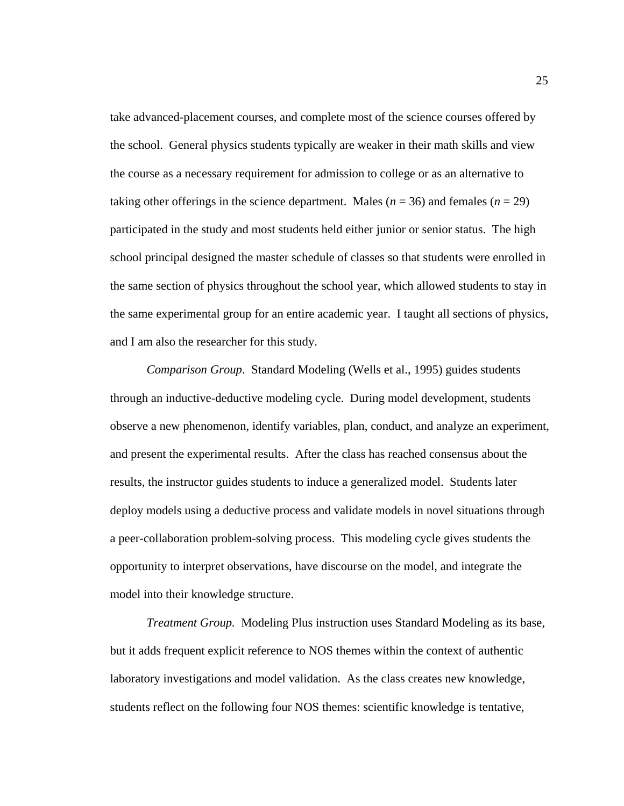take advanced-placement courses, and complete most of the science courses offered by the school. General physics students typically are weaker in their math skills and view the course as a necessary requirement for admission to college or as an alternative to taking other offerings in the science department. Males ( $n = 36$ ) and females ( $n = 29$ ) participated in the study and most students held either junior or senior status. The high school principal designed the master schedule of classes so that students were enrolled in the same section of physics throughout the school year, which allowed students to stay in the same experimental group for an entire academic year. I taught all sections of physics, and I am also the researcher for this study.

*Comparison Group*. Standard Modeling (Wells et al., 1995) guides students through an inductive-deductive modeling cycle. During model development, students observe a new phenomenon, identify variables, plan, conduct, and analyze an experiment, and present the experimental results. After the class has reached consensus about the results, the instructor guides students to induce a generalized model. Students later deploy models using a deductive process and validate models in novel situations through a peer-collaboration problem-solving process. This modeling cycle gives students the opportunity to interpret observations, have discourse on the model, and integrate the model into their knowledge structure.

*Treatment Group.* Modeling Plus instruction uses Standard Modeling as its base, but it adds frequent explicit reference to NOS themes within the context of authentic laboratory investigations and model validation. As the class creates new knowledge, students reflect on the following four NOS themes: scientific knowledge is tentative,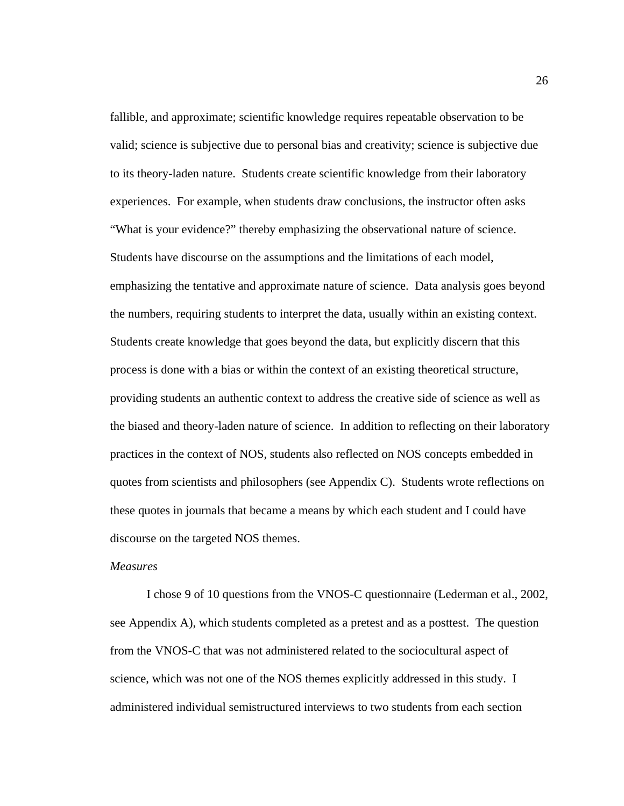fallible, and approximate; scientific knowledge requires repeatable observation to be valid; science is subjective due to personal bias and creativity; science is subjective due to its theory-laden nature. Students create scientific knowledge from their laboratory experiences. For example, when students draw conclusions, the instructor often asks "What is your evidence?" thereby emphasizing the observational nature of science. Students have discourse on the assumptions and the limitations of each model, emphasizing the tentative and approximate nature of science. Data analysis goes beyond the numbers, requiring students to interpret the data, usually within an existing context. Students create knowledge that goes beyond the data, but explicitly discern that this process is done with a bias or within the context of an existing theoretical structure, providing students an authentic context to address the creative side of science as well as the biased and theory-laden nature of science. In addition to reflecting on their laboratory practices in the context of NOS, students also reflected on NOS concepts embedded in quotes from scientists and philosophers (see Appendix C). Students wrote reflections on these quotes in journals that became a means by which each student and I could have discourse on the targeted NOS themes.

## *Measures*

I chose 9 of 10 questions from the VNOS-C questionnaire (Lederman et al., 2002, see Appendix A), which students completed as a pretest and as a posttest. The question from the VNOS-C that was not administered related to the sociocultural aspect of science, which was not one of the NOS themes explicitly addressed in this study. I administered individual semistructured interviews to two students from each section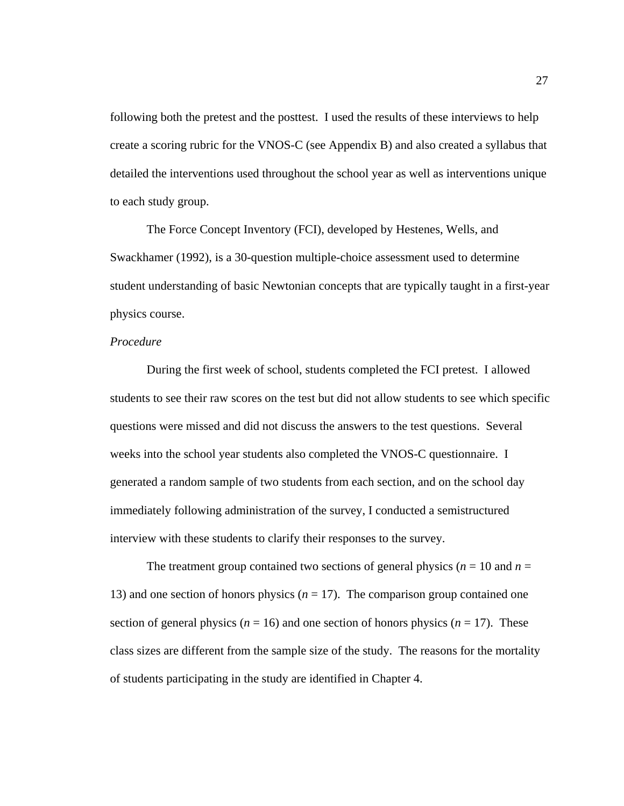following both the pretest and the posttest. I used the results of these interviews to help create a scoring rubric for the VNOS-C (see Appendix B) and also created a syllabus that detailed the interventions used throughout the school year as well as interventions unique to each study group.

The Force Concept Inventory (FCI), developed by Hestenes, Wells, and Swackhamer (1992), is a 30-question multiple-choice assessment used to determine student understanding of basic Newtonian concepts that are typically taught in a first-year physics course.

## *Procedure*

During the first week of school, students completed the FCI pretest. I allowed students to see their raw scores on the test but did not allow students to see which specific questions were missed and did not discuss the answers to the test questions. Several weeks into the school year students also completed the VNOS-C questionnaire. I generated a random sample of two students from each section, and on the school day immediately following administration of the survey, I conducted a semistructured interview with these students to clarify their responses to the survey.

The treatment group contained two sections of general physics ( $n = 10$  and  $n = 10$ ) 13) and one section of honors physics  $(n = 17)$ . The comparison group contained one section of general physics ( $n = 16$ ) and one section of honors physics ( $n = 17$ ). These class sizes are different from the sample size of the study. The reasons for the mortality of students participating in the study are identified in Chapter 4.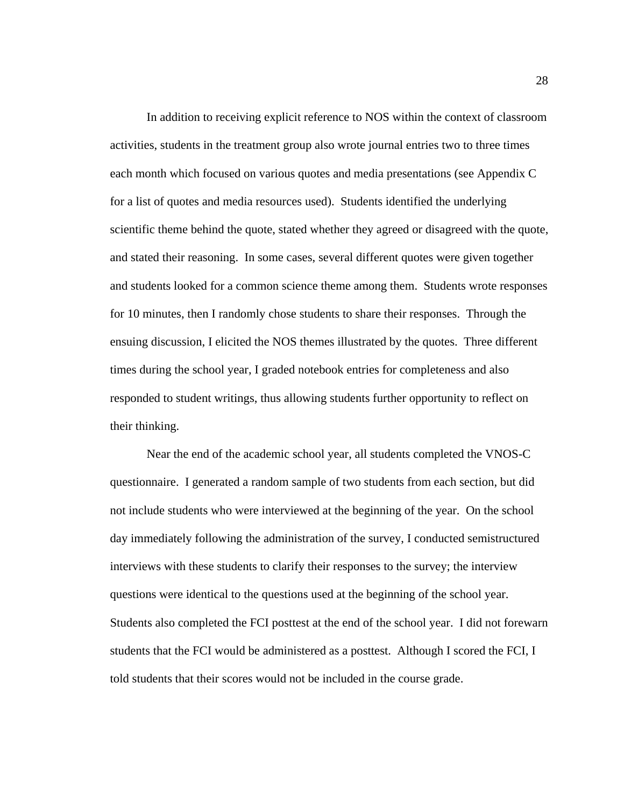In addition to receiving explicit reference to NOS within the context of classroom activities, students in the treatment group also wrote journal entries two to three times each month which focused on various quotes and media presentations (see Appendix C for a list of quotes and media resources used). Students identified the underlying scientific theme behind the quote, stated whether they agreed or disagreed with the quote, and stated their reasoning. In some cases, several different quotes were given together and students looked for a common science theme among them. Students wrote responses for 10 minutes, then I randomly chose students to share their responses. Through the ensuing discussion, I elicited the NOS themes illustrated by the quotes. Three different times during the school year, I graded notebook entries for completeness and also responded to student writings, thus allowing students further opportunity to reflect on their thinking.

Near the end of the academic school year, all students completed the VNOS-C questionnaire. I generated a random sample of two students from each section, but did not include students who were interviewed at the beginning of the year. On the school day immediately following the administration of the survey, I conducted semistructured interviews with these students to clarify their responses to the survey; the interview questions were identical to the questions used at the beginning of the school year. Students also completed the FCI posttest at the end of the school year. I did not forewarn students that the FCI would be administered as a posttest. Although I scored the FCI, I told students that their scores would not be included in the course grade.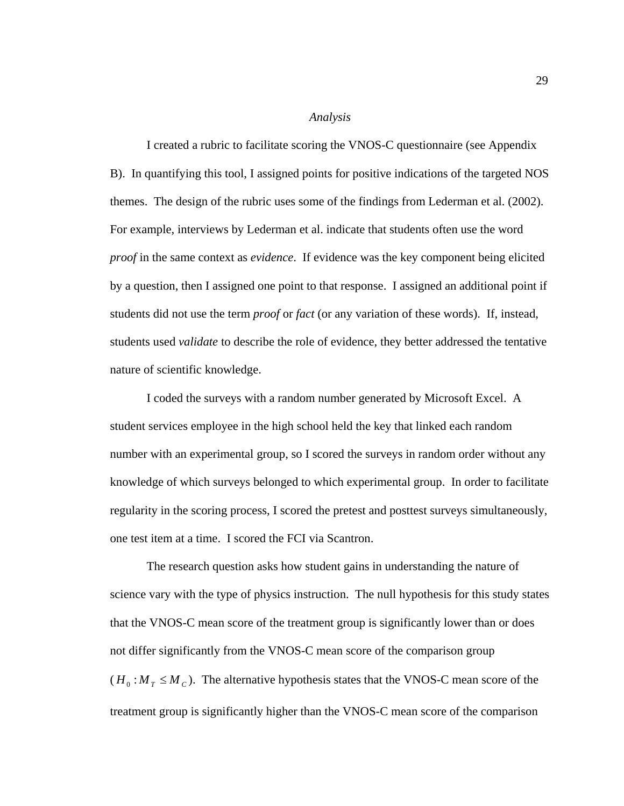### *Analysis*

I created a rubric to facilitate scoring the VNOS-C questionnaire (see Appendix B). In quantifying this tool, I assigned points for positive indications of the targeted NOS themes. The design of the rubric uses some of the findings from Lederman et al. (2002). For example, interviews by Lederman et al. indicate that students often use the word *proof* in the same context as *evidence*. If evidence was the key component being elicited by a question, then I assigned one point to that response. I assigned an additional point if students did not use the term *proof* or *fact* (or any variation of these words). If, instead, students used *validate* to describe the role of evidence, they better addressed the tentative nature of scientific knowledge.

I coded the surveys with a random number generated by Microsoft Excel. A student services employee in the high school held the key that linked each random number with an experimental group, so I scored the surveys in random order without any knowledge of which surveys belonged to which experimental group. In order to facilitate regularity in the scoring process, I scored the pretest and posttest surveys simultaneously, one test item at a time. I scored the FCI via Scantron.

The research question asks how student gains in understanding the nature of science vary with the type of physics instruction. The null hypothesis for this study states that the VNOS-C mean score of the treatment group is significantly lower than or does not differ significantly from the VNOS-C mean score of the comparison group  $(H_0: M_T \leq M_C)$ . The alternative hypothesis states that the VNOS-C mean score of the treatment group is significantly higher than the VNOS-C mean score of the comparison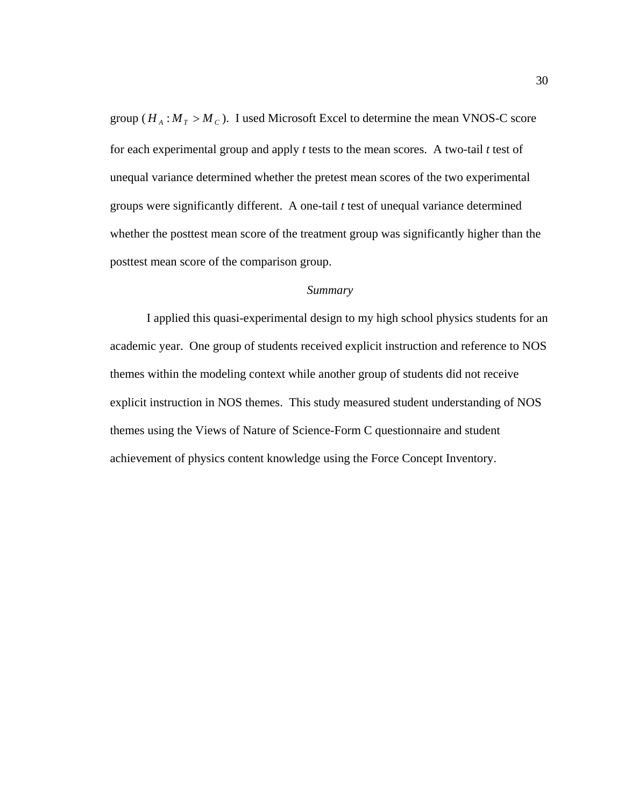group ( $H_A$ :  $M_T > M_C$ ). I used Microsoft Excel to determine the mean VNOS-C score for each experimental group and apply *t* tests to the mean scores. A two-tail *t* test of unequal variance determined whether the pretest mean scores of the two experimental groups were significantly different. A one-tail *t* test of unequal variance determined whether the posttest mean score of the treatment group was significantly higher than the posttest mean score of the comparison group.

### *Summary*

 I applied this quasi-experimental design to my high school physics students for an academic year. One group of students received explicit instruction and reference to NOS themes within the modeling context while another group of students did not receive explicit instruction in NOS themes. This study measured student understanding of NOS themes using the Views of Nature of Science-Form C questionnaire and student achievement of physics content knowledge using the Force Concept Inventory.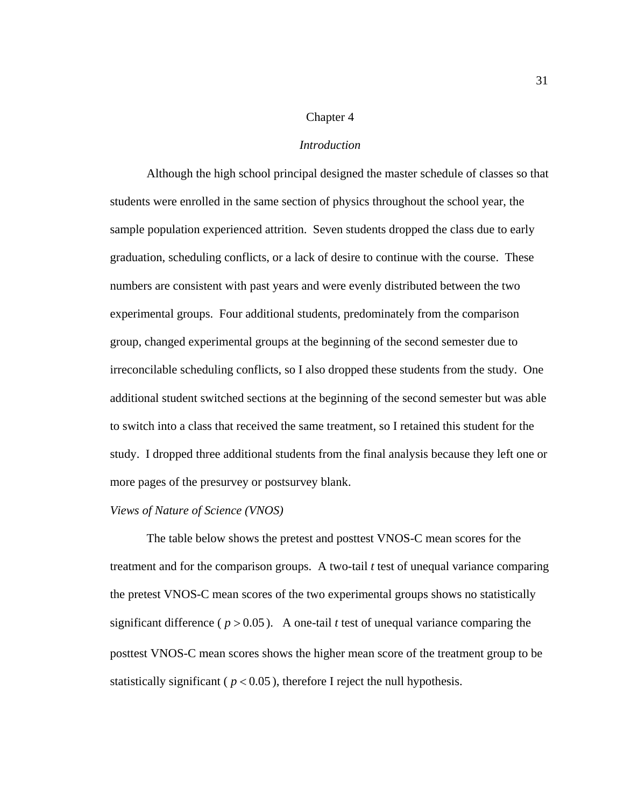### Chapter 4

#### *Introduction*

 Although the high school principal designed the master schedule of classes so that students were enrolled in the same section of physics throughout the school year, the sample population experienced attrition. Seven students dropped the class due to early graduation, scheduling conflicts, or a lack of desire to continue with the course. These numbers are consistent with past years and were evenly distributed between the two experimental groups. Four additional students, predominately from the comparison group, changed experimental groups at the beginning of the second semester due to irreconcilable scheduling conflicts, so I also dropped these students from the study. One additional student switched sections at the beginning of the second semester but was able to switch into a class that received the same treatment, so I retained this student for the study. I dropped three additional students from the final analysis because they left one or more pages of the presurvey or postsurvey blank.

### *Views of Nature of Science (VNOS)*

 The table below shows the pretest and posttest VNOS-C mean scores for the treatment and for the comparison groups. A two-tail *t* test of unequal variance comparing the pretest VNOS-C mean scores of the two experimental groups shows no statistically significant difference ( $p > 0.05$ ). A one-tail *t* test of unequal variance comparing the posttest VNOS-C mean scores shows the higher mean score of the treatment group to be statistically significant ( $p < 0.05$ ), therefore I reject the null hypothesis.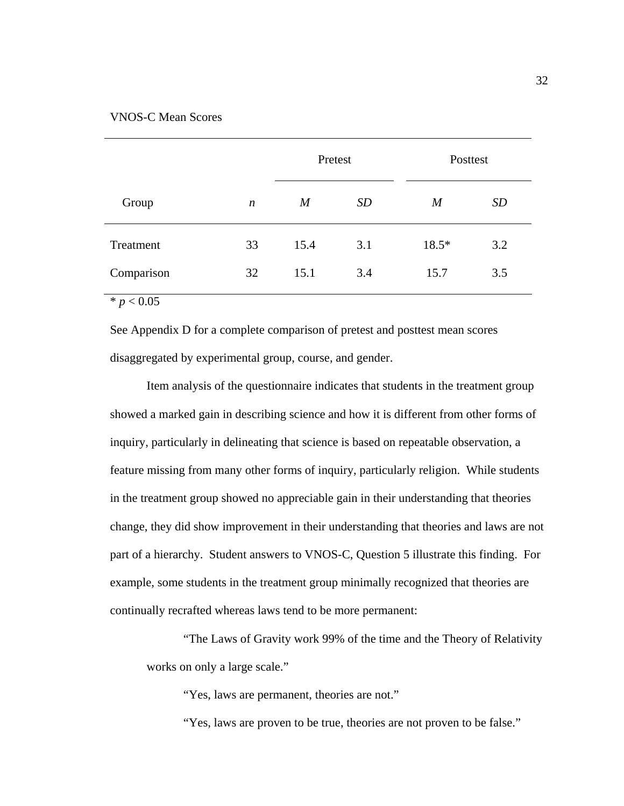# VNOS-C Mean Scores

|            |                  | Pretest        |           | Posttest         |           |
|------------|------------------|----------------|-----------|------------------|-----------|
| Group      | $\boldsymbol{n}$ | $\overline{M}$ | <b>SD</b> | $\boldsymbol{M}$ | <b>SD</b> |
| Treatment  | 33               | 15.4           | 3.1       | $18.5*$          | 3.2       |
| Comparison | 32               | 15.1           | 3.4       | 15.7             | 3.5       |

 $* p < 0.05$ 

See Appendix D for a complete comparison of pretest and posttest mean scores disaggregated by experimental group, course, and gender.

Item analysis of the questionnaire indicates that students in the treatment group showed a marked gain in describing science and how it is different from other forms of inquiry, particularly in delineating that science is based on repeatable observation, a feature missing from many other forms of inquiry, particularly religion. While students in the treatment group showed no appreciable gain in their understanding that theories change, they did show improvement in their understanding that theories and laws are not part of a hierarchy. Student answers to VNOS-C, Question 5 illustrate this finding. For example, some students in the treatment group minimally recognized that theories are continually recrafted whereas laws tend to be more permanent:

"The Laws of Gravity work 99% of the time and the Theory of Relativity works on only a large scale."

"Yes, laws are permanent, theories are not."

"Yes, laws are proven to be true, theories are not proven to be false."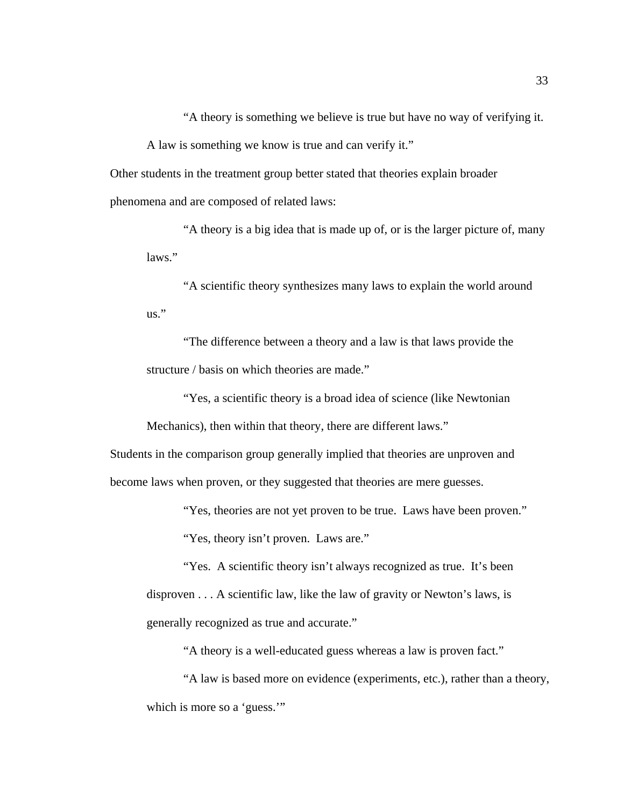"A theory is something we believe is true but have no way of verifying it.

A law is something we know is true and can verify it."

Other students in the treatment group better stated that theories explain broader phenomena and are composed of related laws:

"A theory is a big idea that is made up of, or is the larger picture of, many laws."

"A scientific theory synthesizes many laws to explain the world around us."

"The difference between a theory and a law is that laws provide the structure / basis on which theories are made."

"Yes, a scientific theory is a broad idea of science (like Newtonian

Mechanics), then within that theory, there are different laws."

Students in the comparison group generally implied that theories are unproven and become laws when proven, or they suggested that theories are mere guesses.

"Yes, theories are not yet proven to be true. Laws have been proven."

"Yes, theory isn't proven. Laws are."

"Yes. A scientific theory isn't always recognized as true. It's been disproven . . . A scientific law, like the law of gravity or Newton's laws, is generally recognized as true and accurate."

"A theory is a well-educated guess whereas a law is proven fact."

"A law is based more on evidence (experiments, etc.), rather than a theory, which is more so a 'guess."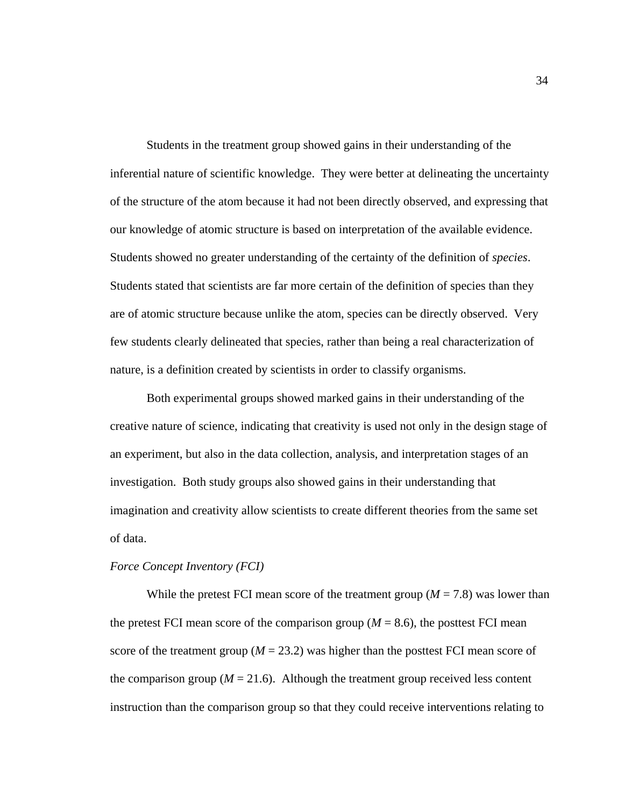Students in the treatment group showed gains in their understanding of the inferential nature of scientific knowledge. They were better at delineating the uncertainty of the structure of the atom because it had not been directly observed, and expressing that our knowledge of atomic structure is based on interpretation of the available evidence. Students showed no greater understanding of the certainty of the definition of *species*. Students stated that scientists are far more certain of the definition of species than they are of atomic structure because unlike the atom, species can be directly observed. Very few students clearly delineated that species, rather than being a real characterization of nature, is a definition created by scientists in order to classify organisms.

Both experimental groups showed marked gains in their understanding of the creative nature of science, indicating that creativity is used not only in the design stage of an experiment, but also in the data collection, analysis, and interpretation stages of an investigation. Both study groups also showed gains in their understanding that imagination and creativity allow scientists to create different theories from the same set of data.

# *Force Concept Inventory (FCI)*

While the pretest FCI mean score of the treatment group  $(M = 7.8)$  was lower than the pretest FCI mean score of the comparison group  $(M = 8.6)$ , the posttest FCI mean score of the treatment group ( $M = 23.2$ ) was higher than the posttest FCI mean score of the comparison group ( $M = 21.6$ ). Although the treatment group received less content instruction than the comparison group so that they could receive interventions relating to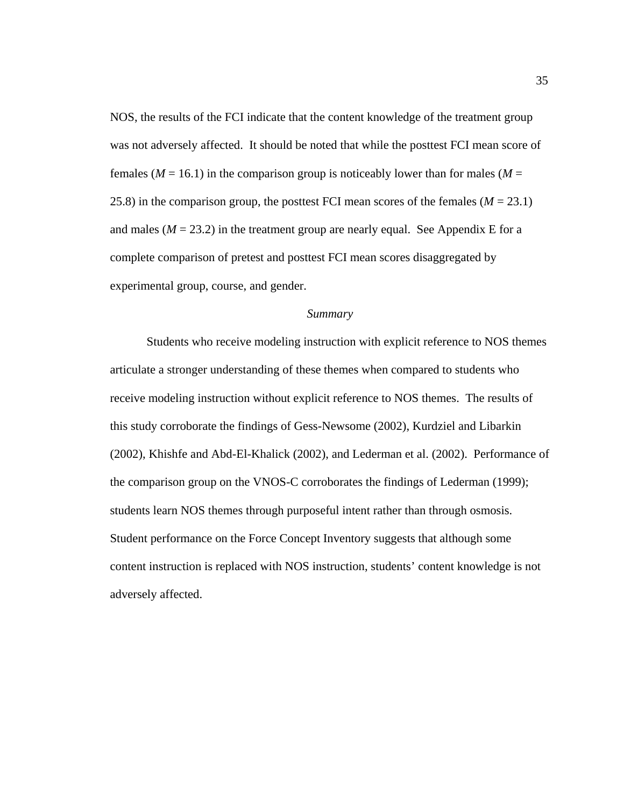NOS, the results of the FCI indicate that the content knowledge of the treatment group was not adversely affected. It should be noted that while the posttest FCI mean score of females ( $M = 16.1$ ) in the comparison group is noticeably lower than for males ( $M =$ 25.8) in the comparison group, the posttest FCI mean scores of the females (*M* = 23.1) and males ( $M = 23.2$ ) in the treatment group are nearly equal. See Appendix E for a complete comparison of pretest and posttest FCI mean scores disaggregated by experimental group, course, and gender.

# *Summary*

 Students who receive modeling instruction with explicit reference to NOS themes articulate a stronger understanding of these themes when compared to students who receive modeling instruction without explicit reference to NOS themes. The results of this study corroborate the findings of Gess-Newsome (2002), Kurdziel and Libarkin (2002), Khishfe and Abd-El-Khalick (2002), and Lederman et al. (2002). Performance of the comparison group on the VNOS-C corroborates the findings of Lederman (1999); students learn NOS themes through purposeful intent rather than through osmosis. Student performance on the Force Concept Inventory suggests that although some content instruction is replaced with NOS instruction, students' content knowledge is not adversely affected.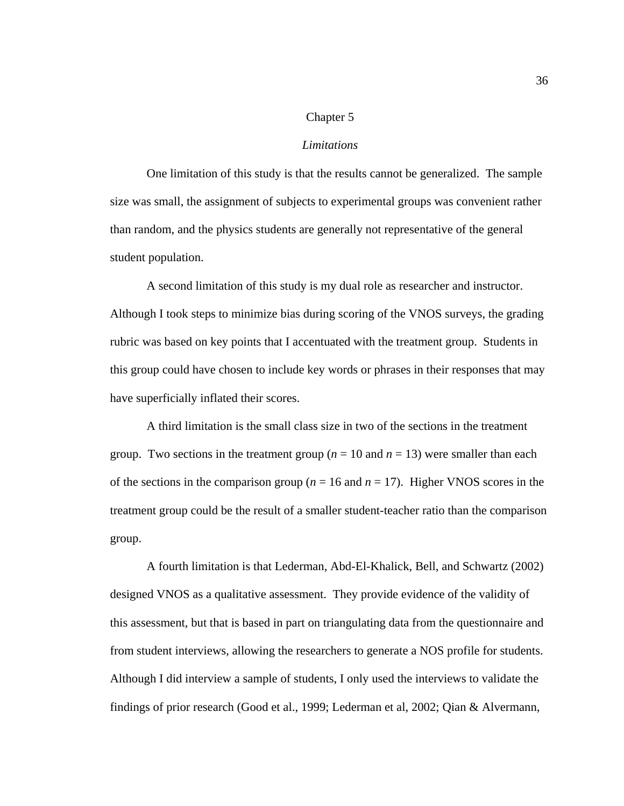### Chapter 5

### *Limitations*

One limitation of this study is that the results cannot be generalized. The sample size was small, the assignment of subjects to experimental groups was convenient rather than random, and the physics students are generally not representative of the general student population.

A second limitation of this study is my dual role as researcher and instructor. Although I took steps to minimize bias during scoring of the VNOS surveys, the grading rubric was based on key points that I accentuated with the treatment group. Students in this group could have chosen to include key words or phrases in their responses that may have superficially inflated their scores.

A third limitation is the small class size in two of the sections in the treatment group. Two sections in the treatment group ( $n = 10$  and  $n = 13$ ) were smaller than each of the sections in the comparison group ( $n = 16$  and  $n = 17$ ). Higher VNOS scores in the treatment group could be the result of a smaller student-teacher ratio than the comparison group.

A fourth limitation is that Lederman, Abd-El-Khalick, Bell, and Schwartz (2002) designed VNOS as a qualitative assessment. They provide evidence of the validity of this assessment, but that is based in part on triangulating data from the questionnaire and from student interviews, allowing the researchers to generate a NOS profile for students. Although I did interview a sample of students, I only used the interviews to validate the findings of prior research (Good et al., 1999; Lederman et al, 2002; Qian & Alvermann,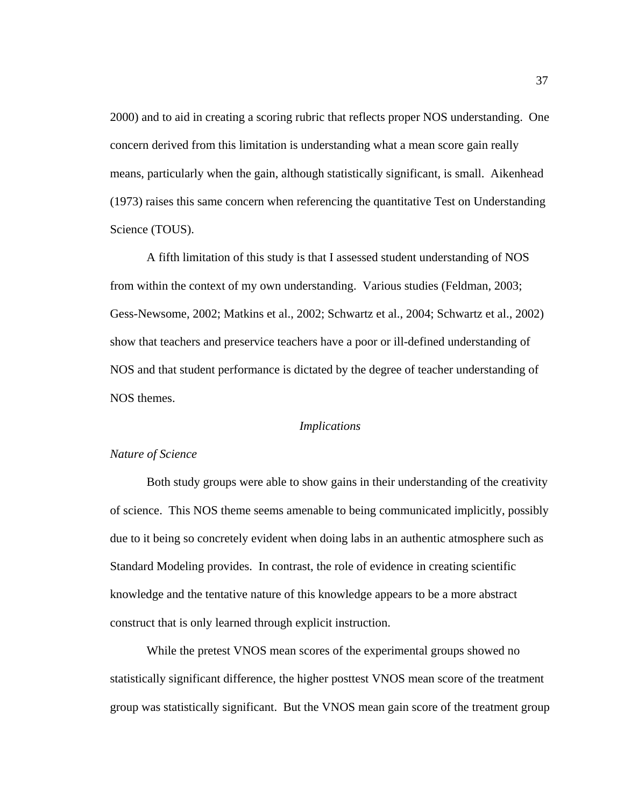2000) and to aid in creating a scoring rubric that reflects proper NOS understanding. One concern derived from this limitation is understanding what a mean score gain really means, particularly when the gain, although statistically significant, is small. Aikenhead (1973) raises this same concern when referencing the quantitative Test on Understanding Science (TOUS).

A fifth limitation of this study is that I assessed student understanding of NOS from within the context of my own understanding. Various studies (Feldman, 2003; Gess-Newsome, 2002; Matkins et al., 2002; Schwartz et al., 2004; Schwartz et al., 2002) show that teachers and preservice teachers have a poor or ill-defined understanding of NOS and that student performance is dictated by the degree of teacher understanding of NOS themes.

### *Implications*

#### *Nature of Science*

Both study groups were able to show gains in their understanding of the creativity of science. This NOS theme seems amenable to being communicated implicitly, possibly due to it being so concretely evident when doing labs in an authentic atmosphere such as Standard Modeling provides. In contrast, the role of evidence in creating scientific knowledge and the tentative nature of this knowledge appears to be a more abstract construct that is only learned through explicit instruction.

While the pretest VNOS mean scores of the experimental groups showed no statistically significant difference, the higher posttest VNOS mean score of the treatment group was statistically significant. But the VNOS mean gain score of the treatment group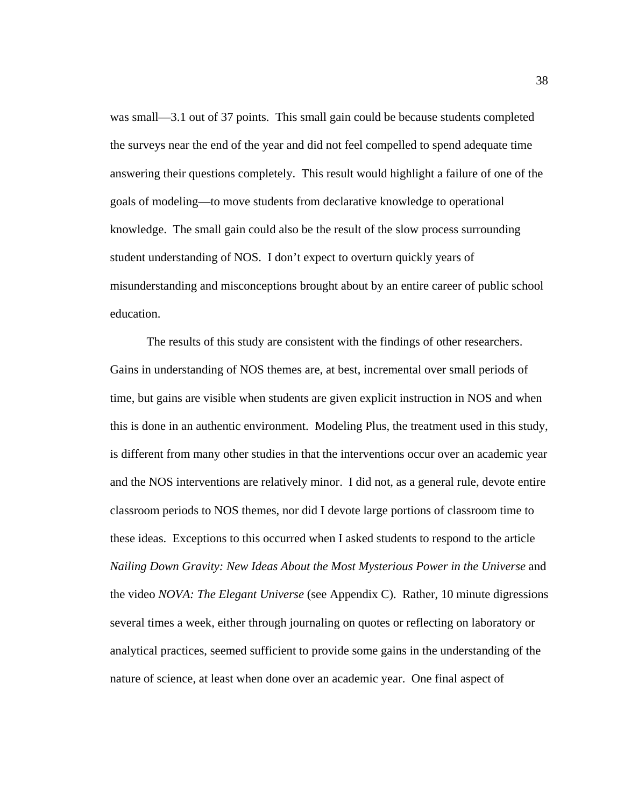was small—3.1 out of 37 points. This small gain could be because students completed the surveys near the end of the year and did not feel compelled to spend adequate time answering their questions completely. This result would highlight a failure of one of the goals of modeling—to move students from declarative knowledge to operational knowledge. The small gain could also be the result of the slow process surrounding student understanding of NOS. I don't expect to overturn quickly years of misunderstanding and misconceptions brought about by an entire career of public school education.

The results of this study are consistent with the findings of other researchers. Gains in understanding of NOS themes are, at best, incremental over small periods of time, but gains are visible when students are given explicit instruction in NOS and when this is done in an authentic environment. Modeling Plus, the treatment used in this study, is different from many other studies in that the interventions occur over an academic year and the NOS interventions are relatively minor. I did not, as a general rule, devote entire classroom periods to NOS themes, nor did I devote large portions of classroom time to these ideas. Exceptions to this occurred when I asked students to respond to the article *Nailing Down Gravity: New Ideas About the Most Mysterious Power in the Universe* and the video *NOVA: The Elegant Universe* (see Appendix C). Rather, 10 minute digressions several times a week, either through journaling on quotes or reflecting on laboratory or analytical practices, seemed sufficient to provide some gains in the understanding of the nature of science, at least when done over an academic year. One final aspect of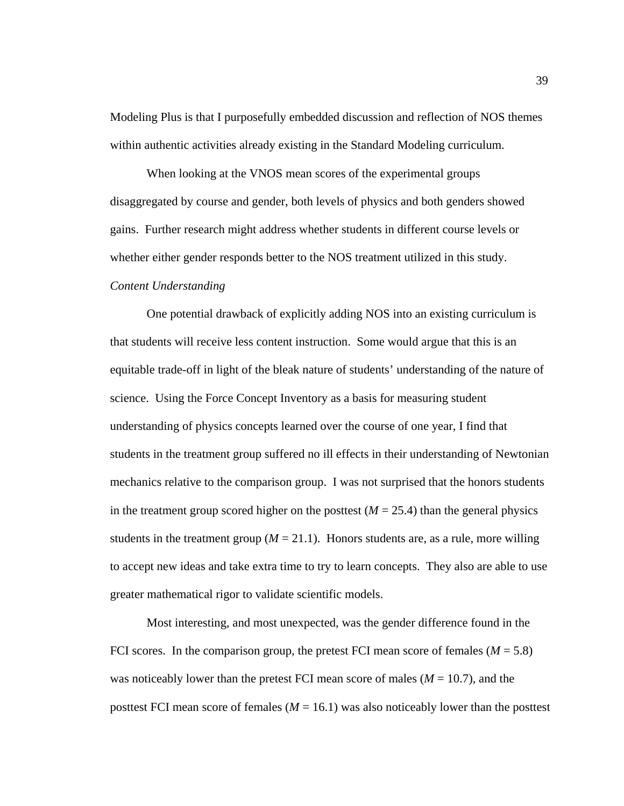Modeling Plus is that I purposefully embedded discussion and reflection of NOS themes within authentic activities already existing in the Standard Modeling curriculum.

When looking at the VNOS mean scores of the experimental groups disaggregated by course and gender, both levels of physics and both genders showed gains. Further research might address whether students in different course levels or whether either gender responds better to the NOS treatment utilized in this study. *Content Understanding*

One potential drawback of explicitly adding NOS into an existing curriculum is that students will receive less content instruction. Some would argue that this is an equitable trade-off in light of the bleak nature of students' understanding of the nature of science. Using the Force Concept Inventory as a basis for measuring student understanding of physics concepts learned over the course of one year, I find that students in the treatment group suffered no ill effects in their understanding of Newtonian mechanics relative to the comparison group. I was not surprised that the honors students in the treatment group scored higher on the posttest  $(M = 25.4)$  than the general physics students in the treatment group  $(M = 21.1)$ . Honors students are, as a rule, more willing to accept new ideas and take extra time to try to learn concepts. They also are able to use greater mathematical rigor to validate scientific models.

Most interesting, and most unexpected, was the gender difference found in the FCI scores. In the comparison group, the pretest FCI mean score of females  $(M = 5.8)$ was noticeably lower than the pretest FCI mean score of males  $(M = 10.7)$ , and the posttest FCI mean score of females  $(M = 16.1)$  was also noticeably lower than the posttest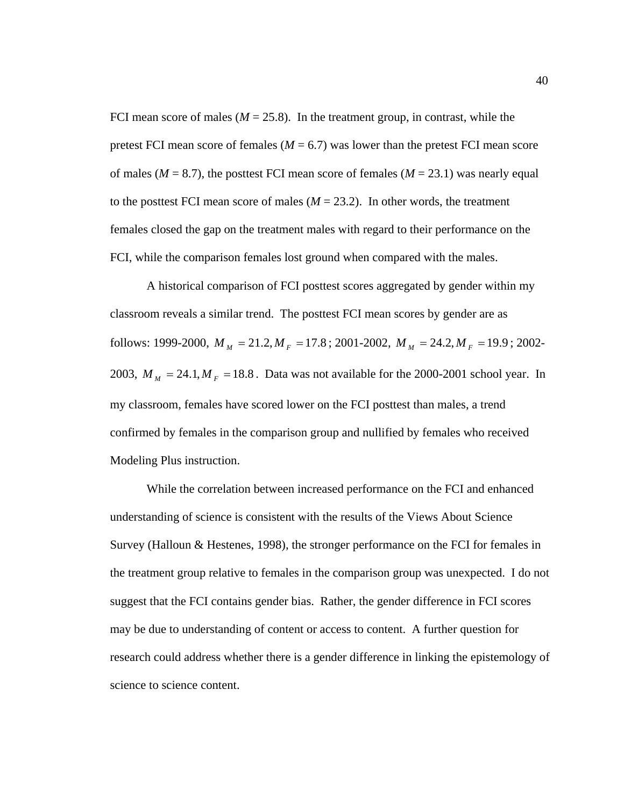FCI mean score of males  $(M = 25.8)$ . In the treatment group, in contrast, while the pretest FCI mean score of females ( $M = 6.7$ ) was lower than the pretest FCI mean score of males ( $M = 8.7$ ), the posttest FCI mean score of females ( $M = 23.1$ ) was nearly equal to the posttest FCI mean score of males  $(M = 23.2)$ . In other words, the treatment females closed the gap on the treatment males with regard to their performance on the FCI, while the comparison females lost ground when compared with the males.

A historical comparison of FCI posttest scores aggregated by gender within my classroom reveals a similar trend. The posttest FCI mean scores by gender are as follows: 1999-2000,  $M_M = 21.2, M_F = 17.8$ ; 2001-2002,  $M_M = 24.2, M_F = 19.9$ ; 2002-2003,  $M_M = 24.1, M_F = 18.8$ . Data was not available for the 2000-2001 school year. In my classroom, females have scored lower on the FCI posttest than males, a trend confirmed by females in the comparison group and nullified by females who received Modeling Plus instruction.

While the correlation between increased performance on the FCI and enhanced understanding of science is consistent with the results of the Views About Science Survey (Halloun & Hestenes, 1998), the stronger performance on the FCI for females in the treatment group relative to females in the comparison group was unexpected. I do not suggest that the FCI contains gender bias. Rather, the gender difference in FCI scores may be due to understanding of content or access to content. A further question for research could address whether there is a gender difference in linking the epistemology of science to science content.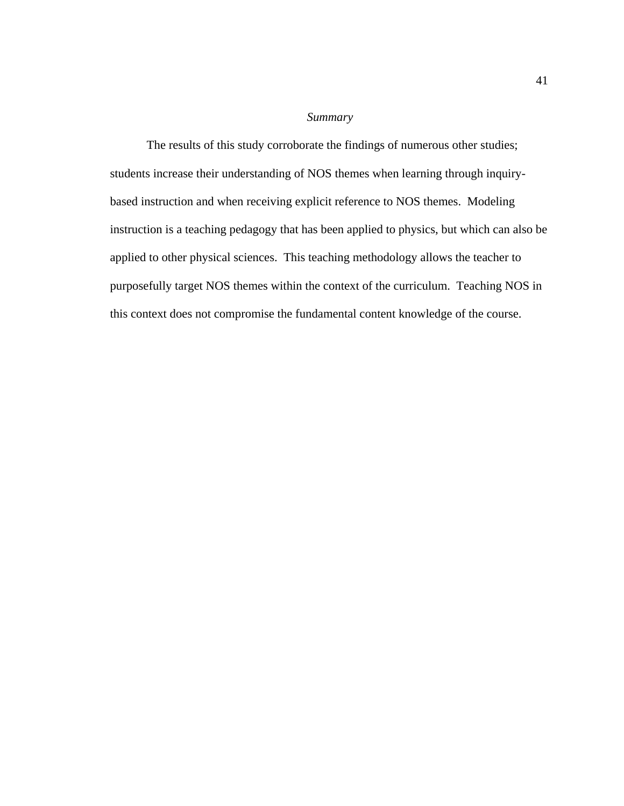# *Summary*

The results of this study corroborate the findings of numerous other studies; students increase their understanding of NOS themes when learning through inquirybased instruction and when receiving explicit reference to NOS themes. Modeling instruction is a teaching pedagogy that has been applied to physics, but which can also be applied to other physical sciences. This teaching methodology allows the teacher to purposefully target NOS themes within the context of the curriculum. Teaching NOS in this context does not compromise the fundamental content knowledge of the course.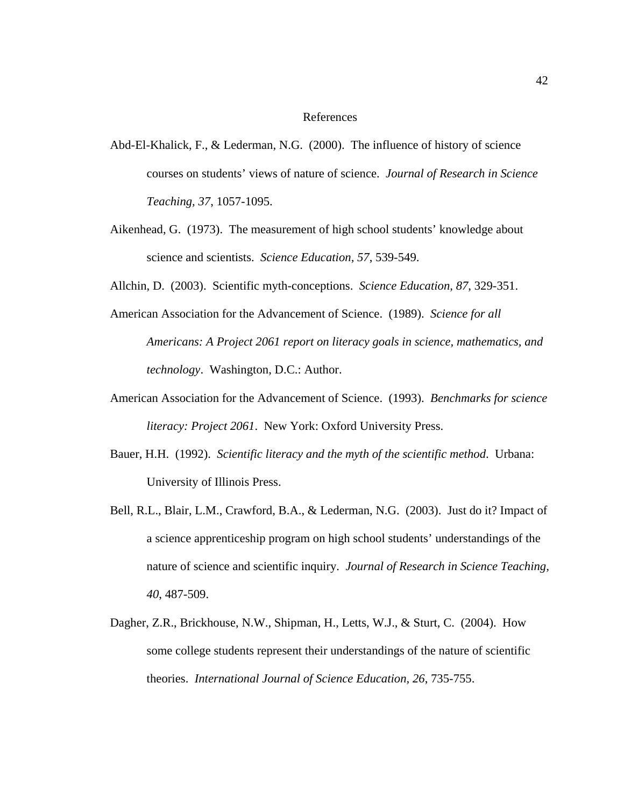# References

- Abd-El-Khalick, F., & Lederman, N.G. (2000). The influence of history of science courses on students' views of nature of science. *Journal of Research in Science Teaching, 37*, 1057-1095.
- Aikenhead, G. (1973). The measurement of high school students' knowledge about science and scientists. *Science Education, 57*, 539-549.
- Allchin, D. (2003). Scientific myth-conceptions. *Science Education, 87*, 329-351.
- American Association for the Advancement of Science. (1989). *Science for all Americans: A Project 2061 report on literacy goals in science, mathematics, and technology*. Washington, D.C.: Author.
- American Association for the Advancement of Science. (1993). *Benchmarks for science literacy: Project 2061*. New York: Oxford University Press.
- Bauer, H.H. (1992). *Scientific literacy and the myth of the scientific method*. Urbana: University of Illinois Press.
- Bell, R.L., Blair, L.M., Crawford, B.A., & Lederman, N.G. (2003). Just do it? Impact of a science apprenticeship program on high school students' understandings of the nature of science and scientific inquiry. *Journal of Research in Science Teaching, 40*, 487-509.
- Dagher, Z.R., Brickhouse, N.W., Shipman, H., Letts, W.J., & Sturt, C. (2004). How some college students represent their understandings of the nature of scientific theories. *International Journal of Science Education, 26*, 735-755.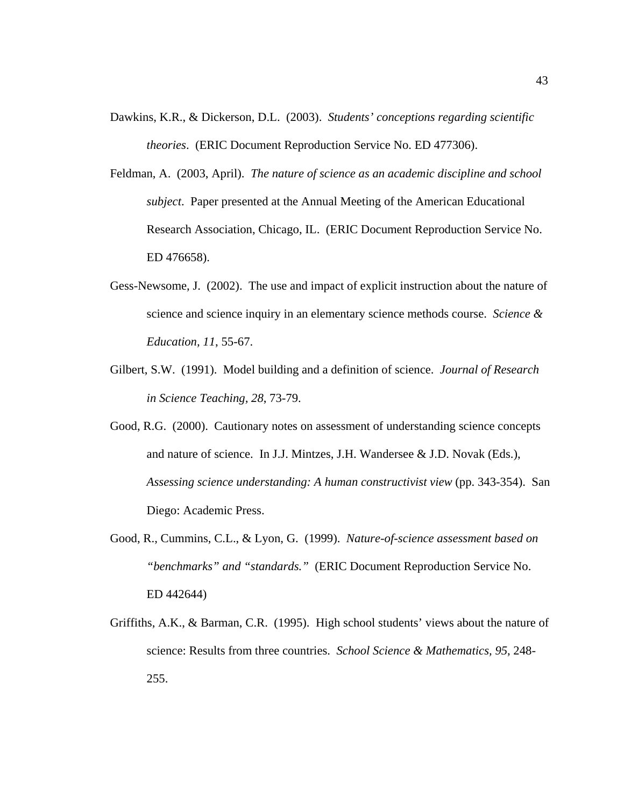- Dawkins, K.R., & Dickerson, D.L. (2003). *Students' conceptions regarding scientific theories*. (ERIC Document Reproduction Service No. ED 477306).
- Feldman, A. (2003, April). *The nature of science as an academic discipline and school subject*. Paper presented at the Annual Meeting of the American Educational Research Association, Chicago, IL. (ERIC Document Reproduction Service No. ED 476658).
- Gess-Newsome, J. (2002). The use and impact of explicit instruction about the nature of science and science inquiry in an elementary science methods course. *Science & Education, 11*, 55-67.
- Gilbert, S.W. (1991). Model building and a definition of science. *Journal of Research in Science Teaching, 28*, 73-79.
- Good, R.G. (2000). Cautionary notes on assessment of understanding science concepts and nature of science. In J.J. Mintzes, J.H. Wandersee & J.D. Novak (Eds.), *Assessing science understanding: A human constructivist view* (pp. 343-354). San Diego: Academic Press.
- Good, R., Cummins, C.L., & Lyon, G. (1999). *Nature-of-science assessment based on "benchmarks" and "standards."* (ERIC Document Reproduction Service No. ED 442644)
- Griffiths, A.K., & Barman, C.R. (1995). High school students' views about the nature of science: Results from three countries. *School Science & Mathematics, 95*, 248- 255.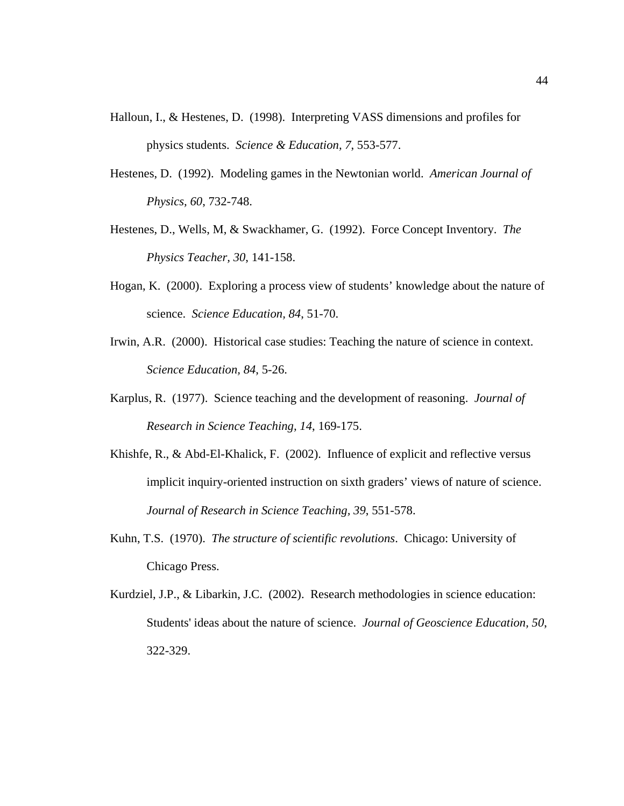- Halloun, I., & Hestenes, D. (1998). Interpreting VASS dimensions and profiles for physics students. *Science & Education, 7*, 553-577.
- Hestenes, D. (1992). Modeling games in the Newtonian world. *American Journal of Physics, 60*, 732-748.
- Hestenes, D., Wells, M, & Swackhamer, G. (1992). Force Concept Inventory. *The Physics Teacher, 30*, 141-158.
- Hogan, K. (2000). Exploring a process view of students' knowledge about the nature of science. *Science Education, 84*, 51-70.
- Irwin, A.R. (2000). Historical case studies: Teaching the nature of science in context. *Science Education, 84*, 5-26.
- Karplus, R. (1977). Science teaching and the development of reasoning. *Journal of Research in Science Teaching, 14*, 169-175.
- Khishfe, R., & Abd-El-Khalick, F. (2002). Influence of explicit and reflective versus implicit inquiry-oriented instruction on sixth graders' views of nature of science. *Journal of Research in Science Teaching, 39*, 551-578.
- Kuhn, T.S. (1970). *The structure of scientific revolutions*. Chicago: University of Chicago Press.
- Kurdziel, J.P., & Libarkin, J.C. (2002). Research methodologies in science education: Students' ideas about the nature of science. *Journal of Geoscience Education, 50*, 322-329.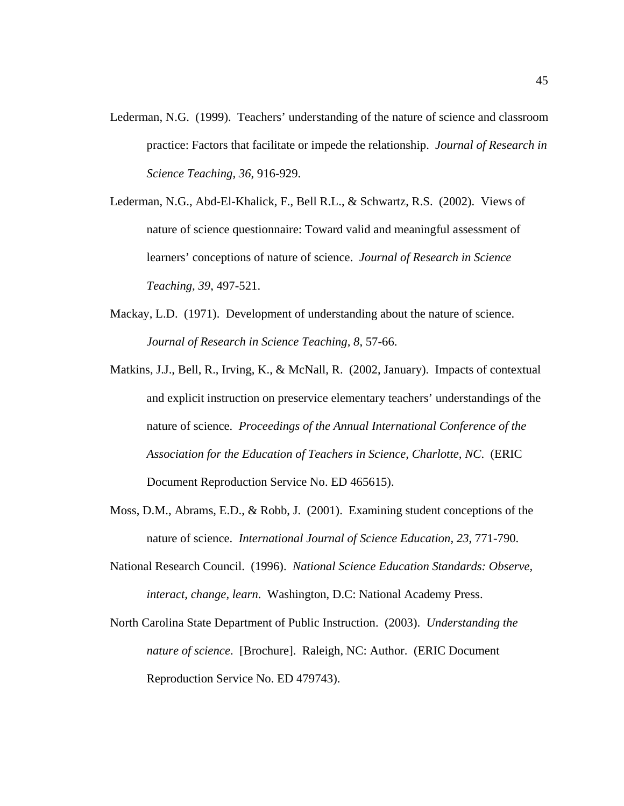- Lederman, N.G. (1999). Teachers' understanding of the nature of science and classroom practice: Factors that facilitate or impede the relationship. *Journal of Research in Science Teaching, 36*, 916-929.
- Lederman, N.G., Abd-El-Khalick, F., Bell R.L., & Schwartz, R.S. (2002). Views of nature of science questionnaire: Toward valid and meaningful assessment of learners' conceptions of nature of science. *Journal of Research in Science Teaching, 39*, 497-521.
- Mackay, L.D. (1971). Development of understanding about the nature of science. *Journal of Research in Science Teaching, 8*, 57-66.
- Matkins, J.J., Bell, R., Irving, K., & McNall, R. (2002, January). Impacts of contextual and explicit instruction on preservice elementary teachers' understandings of the nature of science. *Proceedings of the Annual International Conference of the Association for the Education of Teachers in Science, Charlotte, NC*. (ERIC Document Reproduction Service No. ED 465615).
- Moss, D.M., Abrams, E.D., & Robb, J. (2001). Examining student conceptions of the nature of science. *International Journal of Science Education, 23*, 771-790.
- National Research Council. (1996). *National Science Education Standards: Observe, interact, change, learn*. Washington, D.C: National Academy Press.
- North Carolina State Department of Public Instruction. (2003). *Understanding the nature of science*. [Brochure]. Raleigh, NC: Author. (ERIC Document Reproduction Service No. ED 479743).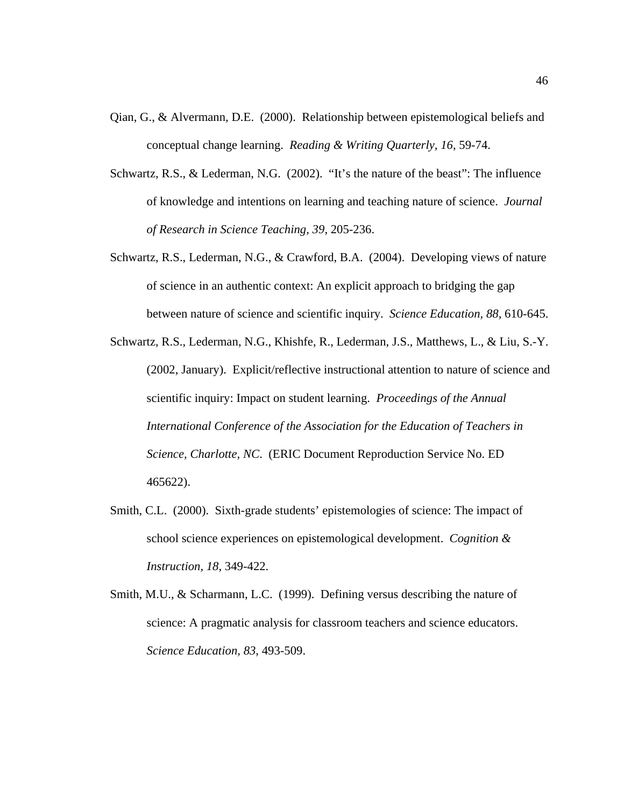- Qian, G., & Alvermann, D.E. (2000). Relationship between epistemological beliefs and conceptual change learning. *Reading & Writing Quarterly, 16*, 59-74.
- Schwartz, R.S., & Lederman, N.G. (2002). "It's the nature of the beast": The influence of knowledge and intentions on learning and teaching nature of science. *Journal of Research in Science Teaching, 39*, 205-236.
- Schwartz, R.S., Lederman, N.G., & Crawford, B.A. (2004). Developing views of nature of science in an authentic context: An explicit approach to bridging the gap between nature of science and scientific inquiry. *Science Education, 88*, 610-645.
- Schwartz, R.S., Lederman, N.G., Khishfe, R., Lederman, J.S., Matthews, L., & Liu, S.-Y. (2002, January). Explicit/reflective instructional attention to nature of science and scientific inquiry: Impact on student learning. *Proceedings of the Annual International Conference of the Association for the Education of Teachers in Science, Charlotte, NC*. (ERIC Document Reproduction Service No. ED 465622).
- Smith, C.L. (2000). Sixth-grade students' epistemologies of science: The impact of school science experiences on epistemological development. *Cognition & Instruction, 18*, 349-422.
- Smith, M.U., & Scharmann, L.C. (1999). Defining versus describing the nature of science: A pragmatic analysis for classroom teachers and science educators. *Science Education, 83*, 493-509.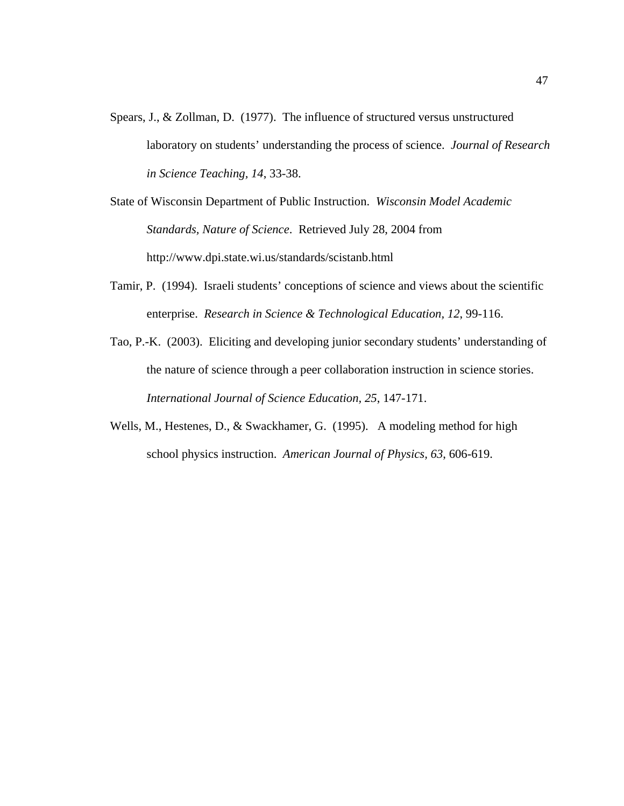Spears, J., & Zollman, D. (1977). The influence of structured versus unstructured laboratory on students' understanding the process of science. *Journal of Research in Science Teaching, 14*, 33-38.

State of Wisconsin Department of Public Instruction. *Wisconsin Model Academic Standards, Nature of Science*. Retrieved July 28, 2004 from http://www.dpi.state.wi.us/standards/scistanb.html

- Tamir, P. (1994). Israeli students' conceptions of science and views about the scientific enterprise. *Research in Science & Technological Education, 12*, 99-116.
- Tao, P.-K. (2003). Eliciting and developing junior secondary students' understanding of the nature of science through a peer collaboration instruction in science stories. *International Journal of Science Education, 25*, 147-171.
- Wells, M., Hestenes, D., & Swackhamer, G. (1995). A modeling method for high school physics instruction. *American Journal of Physics, 63*, 606-619.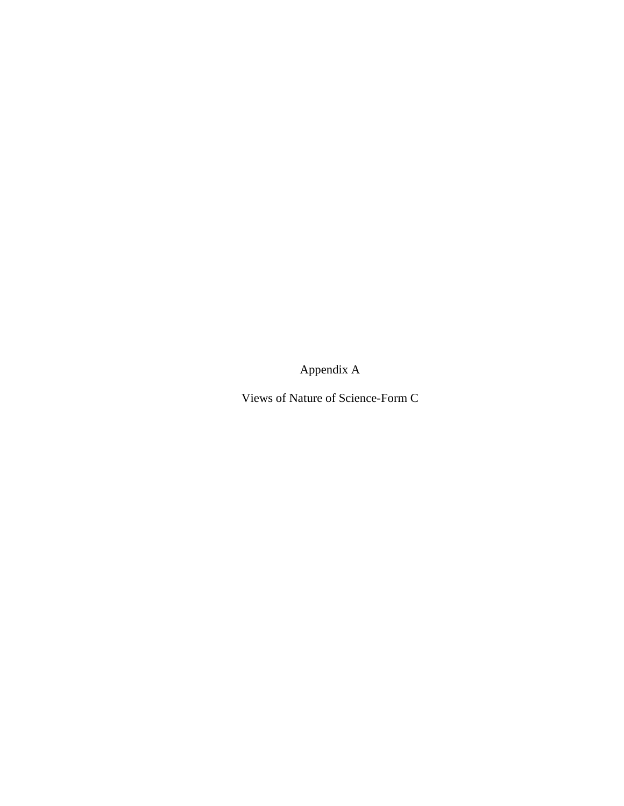Appendix A

Views of Nature of Science-Form C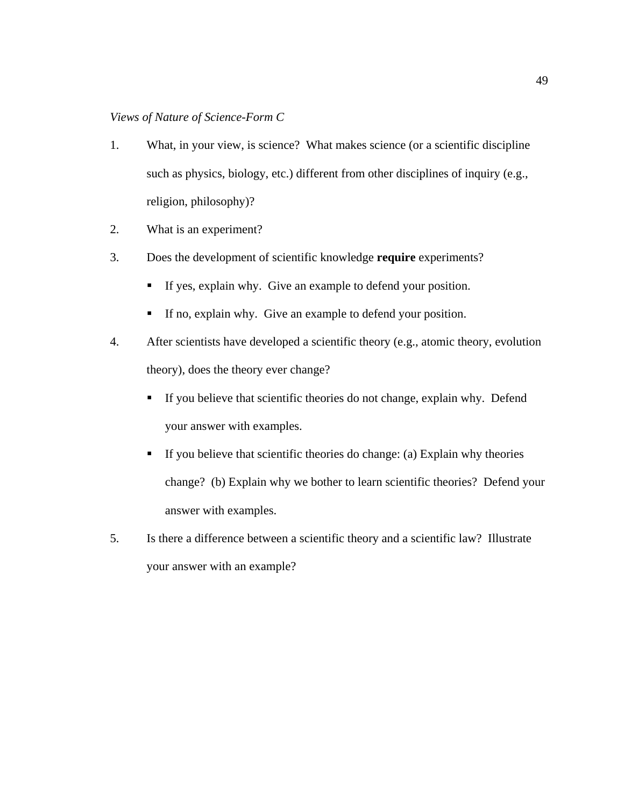- 1. What, in your view, is science? What makes science (or a scientific discipline such as physics, biology, etc.) different from other disciplines of inquiry (e.g., religion, philosophy)?
- 2. What is an experiment?
- 3. Does the development of scientific knowledge **require** experiments?
	- If yes, explain why. Give an example to defend your position.
	- If no, explain why. Give an example to defend your position.
- 4. After scientists have developed a scientific theory (e.g., atomic theory, evolution theory), does the theory ever change?
	- If you believe that scientific theories do not change, explain why. Defend your answer with examples.
	- If you believe that scientific theories do change: (a) Explain why theories change? (b) Explain why we bother to learn scientific theories? Defend your answer with examples.
- 5. Is there a difference between a scientific theory and a scientific law? Illustrate your answer with an example?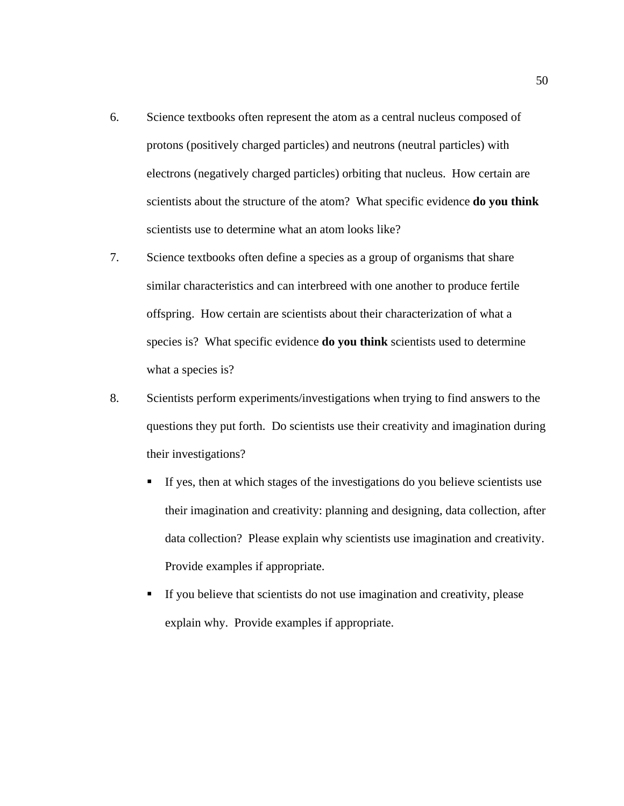- 6. Science textbooks often represent the atom as a central nucleus composed of protons (positively charged particles) and neutrons (neutral particles) with electrons (negatively charged particles) orbiting that nucleus. How certain are scientists about the structure of the atom? What specific evidence **do you think** scientists use to determine what an atom looks like?
- 7. Science textbooks often define a species as a group of organisms that share similar characteristics and can interbreed with one another to produce fertile offspring. How certain are scientists about their characterization of what a species is? What specific evidence **do you think** scientists used to determine what a species is?
- 8. Scientists perform experiments/investigations when trying to find answers to the questions they put forth. Do scientists use their creativity and imagination during their investigations?
	- If yes, then at which stages of the investigations do you believe scientists use their imagination and creativity: planning and designing, data collection, after data collection? Please explain why scientists use imagination and creativity. Provide examples if appropriate.
	- If you believe that scientists do not use imagination and creativity, please explain why. Provide examples if appropriate.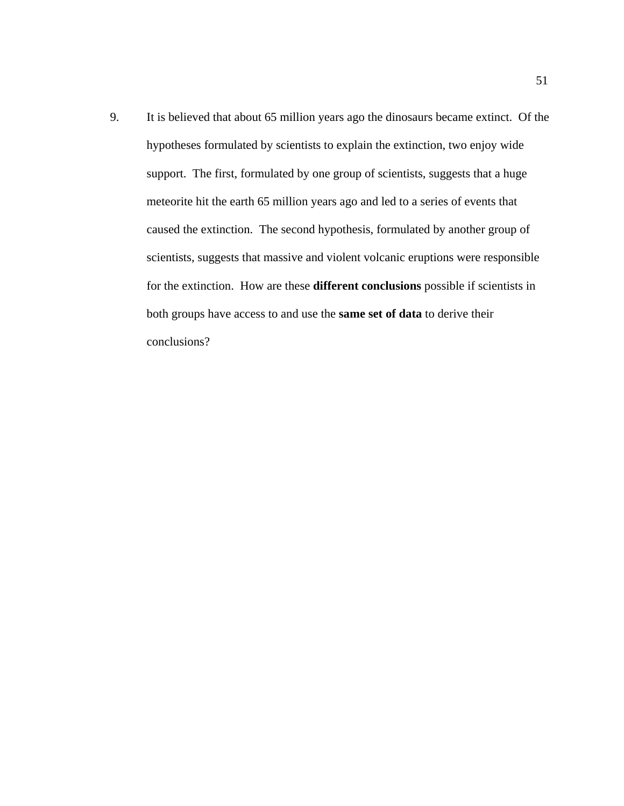9. It is believed that about 65 million years ago the dinosaurs became extinct. Of the hypotheses formulated by scientists to explain the extinction, two enjoy wide support. The first, formulated by one group of scientists, suggests that a huge meteorite hit the earth 65 million years ago and led to a series of events that caused the extinction. The second hypothesis, formulated by another group of scientists, suggests that massive and violent volcanic eruptions were responsible for the extinction. How are these **different conclusions** possible if scientists in both groups have access to and use the **same set of data** to derive their conclusions?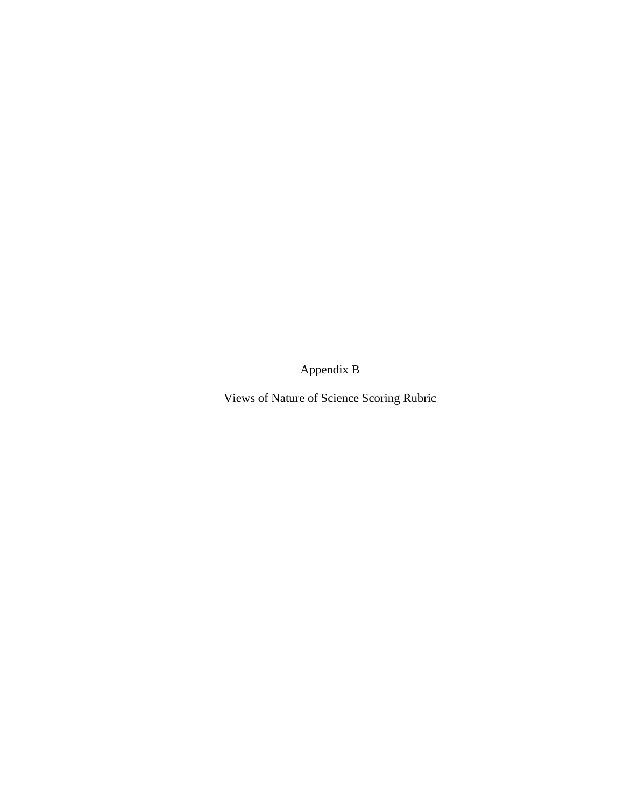Appendix B

Views of Nature of Science Scoring Rubric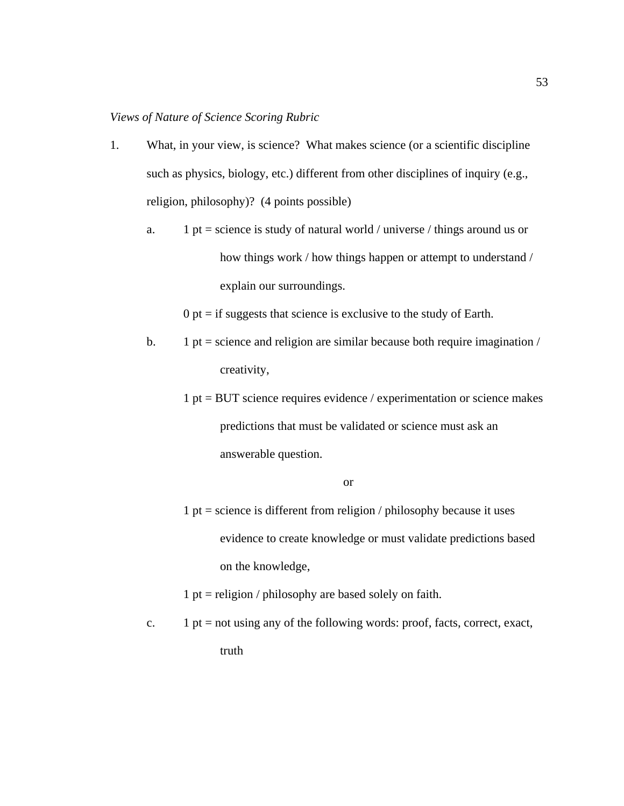- 1. What, in your view, is science? What makes science (or a scientific discipline such as physics, biology, etc.) different from other disciplines of inquiry (e.g., religion, philosophy)? (4 points possible)
	- a. 1 pt = science is study of natural world / universe / things around us or how things work / how things happen or attempt to understand / explain our surroundings.

 $0$  pt = if suggests that science is exclusive to the study of Earth.

- b. 1 pt = science and religion are similar because both require imagination  $\ell$ creativity,
	- $1 pt = BUT$  science requires evidence / experimentation or science makes predictions that must be validated or science must ask an answerable question.

#### or

 $1 pt = science is different from religion / philosophy because it uses$ evidence to create knowledge or must validate predictions based on the knowledge,

1 pt = religion / philosophy are based solely on faith.

c.  $1 \text{ pt} = \text{not using any of the following words: proof, facts, correct, exact, }$ truth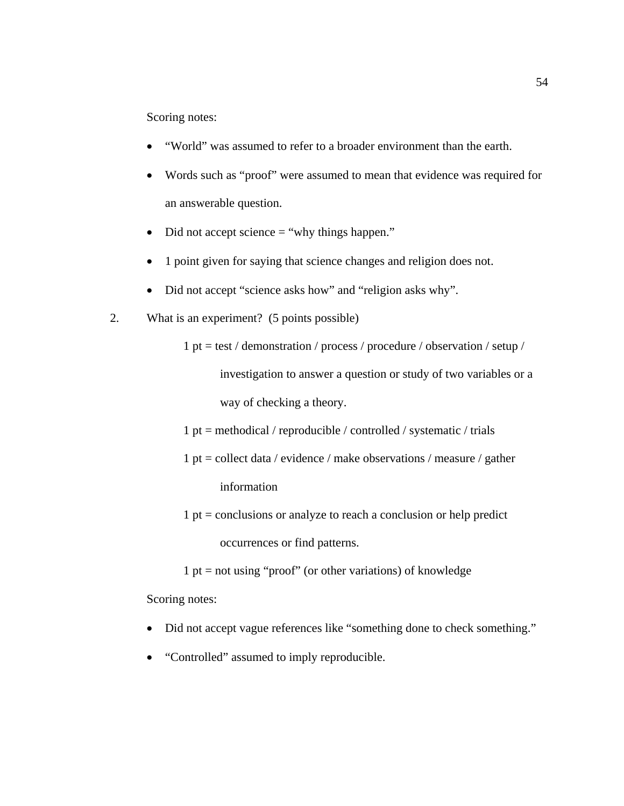Scoring notes:

- "World" was assumed to refer to a broader environment than the earth.
- Words such as "proof" were assumed to mean that evidence was required for an answerable question.
- Did not accept science  $=$  "why things happen."
- 1 point given for saying that science changes and religion does not.
- Did not accept "science asks how" and "religion asks why".
- 2. What is an experiment? (5 points possible)

1 pt = test / demonstration / process / procedure / observation / setup / investigation to answer a question or study of two variables or a way of checking a theory.

1 pt = methodical / reproducible / controlled / systematic / trials

- 1 pt = collect data / evidence / make observations / measure / gather information
- $1 pt =$  conclusions or analyze to reach a conclusion or help predict occurrences or find patterns.

 $1 pt = not using "proof" (or other variations) of knowledge$ 

Scoring notes:

- Did not accept vague references like "something done to check something."
- "Controlled" assumed to imply reproducible.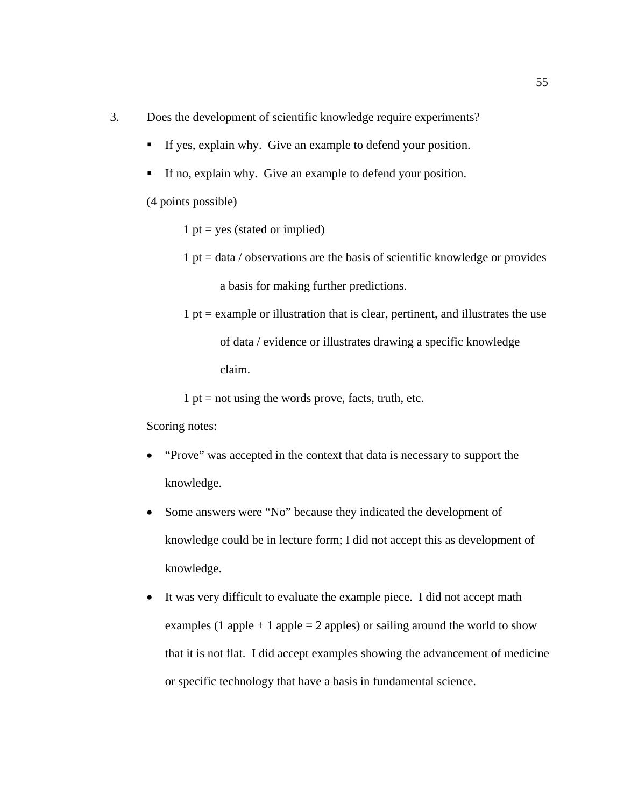- 3. Does the development of scientific knowledge require experiments?
	- If yes, explain why. Give an example to defend your position.
	- If no, explain why. Give an example to defend your position.
	- (4 points possible)
		- $1 pt = yes$  (stated or implied)
		- $1 pt = data / observations are the basis of scientific knowledge or provides$ a basis for making further predictions.
		- $1$  pt = example or illustration that is clear, pertinent, and illustrates the use of data / evidence or illustrates drawing a specific knowledge claim.

1 pt = not using the words prove, facts, truth, etc.

Scoring notes:

- "Prove" was accepted in the context that data is necessary to support the knowledge.
- Some answers were "No" because they indicated the development of knowledge could be in lecture form; I did not accept this as development of knowledge.
- It was very difficult to evaluate the example piece. I did not accept math examples (1 apple + 1 apple = 2 apples) or sailing around the world to show that it is not flat. I did accept examples showing the advancement of medicine or specific technology that have a basis in fundamental science.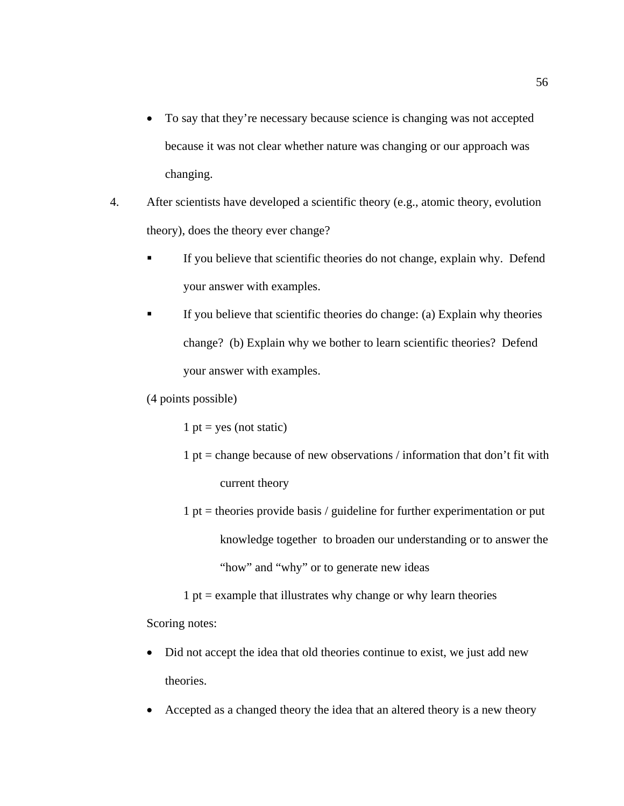- To say that they're necessary because science is changing was not accepted because it was not clear whether nature was changing or our approach was changing.
- 4. After scientists have developed a scientific theory (e.g., atomic theory, evolution theory), does the theory ever change?
	- If you believe that scientific theories do not change, explain why. Defend your answer with examples.
	- If you believe that scientific theories do change: (a) Explain why theories change? (b) Explain why we bother to learn scientific theories? Defend your answer with examples.
	- (4 points possible)

1 pt = yes (not static)

- 1 pt = change because of new observations  $\ell$  information that don't fit with current theory
- $1$  pt = theories provide basis / guideline for further experimentation or put knowledge together to broaden our understanding or to answer the "how" and "why" or to generate new ideas

 $1$  pt = example that illustrates why change or why learn theories

Scoring notes:

- Did not accept the idea that old theories continue to exist, we just add new theories.
- Accepted as a changed theory the idea that an altered theory is a new theory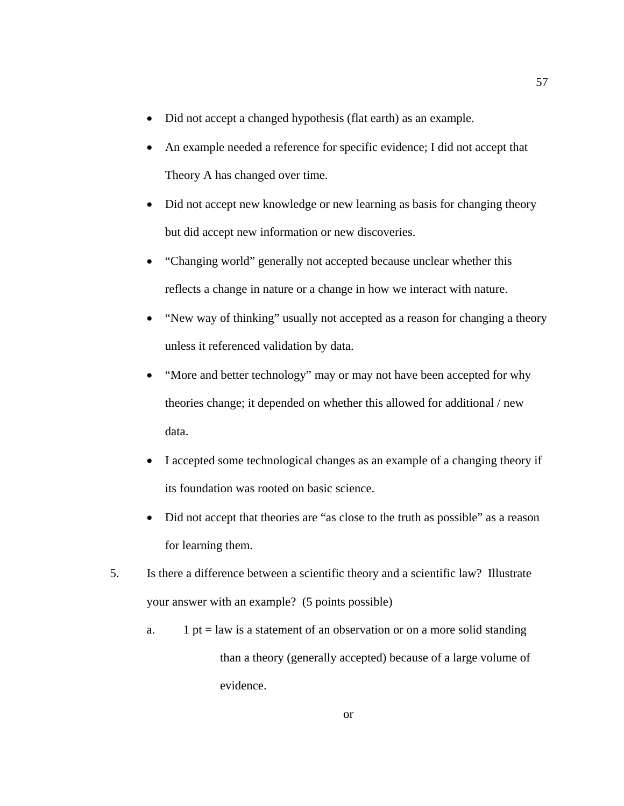- Did not accept a changed hypothesis (flat earth) as an example.
- An example needed a reference for specific evidence; I did not accept that Theory A has changed over time.
- Did not accept new knowledge or new learning as basis for changing theory but did accept new information or new discoveries.
- "Changing world" generally not accepted because unclear whether this reflects a change in nature or a change in how we interact with nature.
- "New way of thinking" usually not accepted as a reason for changing a theory unless it referenced validation by data.
- "More and better technology" may or may not have been accepted for why theories change; it depended on whether this allowed for additional / new data.
- I accepted some technological changes as an example of a changing theory if its foundation was rooted on basic science.
- Did not accept that theories are "as close to the truth as possible" as a reason for learning them.
- 5. Is there a difference between a scientific theory and a scientific law? Illustrate your answer with an example? (5 points possible)
	- a. 1 pt = law is a statement of an observation or on a more solid standing than a theory (generally accepted) because of a large volume of evidence.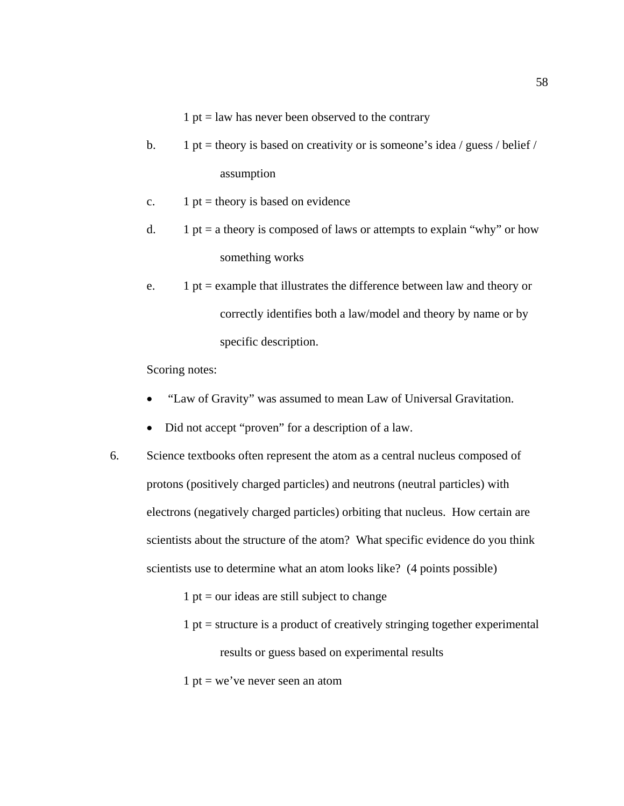$1 pt = law has never been observed to the contrary$ 

- b. 1 pt = theory is based on creativity or is someone's idea / guess / belief / assumption
- c.  $1 \text{ pt} = \text{theory}$  is based on evidence
- d. 1 pt = a theory is composed of laws or attempts to explain "why" or how something works
- e. 1 pt = example that illustrates the difference between law and theory or correctly identifies both a law/model and theory by name or by specific description.

Scoring notes:

- "Law of Gravity" was assumed to mean Law of Universal Gravitation.
- Did not accept "proven" for a description of a law.
- 6. Science textbooks often represent the atom as a central nucleus composed of protons (positively charged particles) and neutrons (neutral particles) with electrons (negatively charged particles) orbiting that nucleus. How certain are scientists about the structure of the atom? What specific evidence do you think scientists use to determine what an atom looks like? (4 points possible)

 $1$  pt = our ideas are still subject to change

- $1$  pt = structure is a product of creatively stringing together experimental results or guess based on experimental results
- 1 pt = we've never seen an atom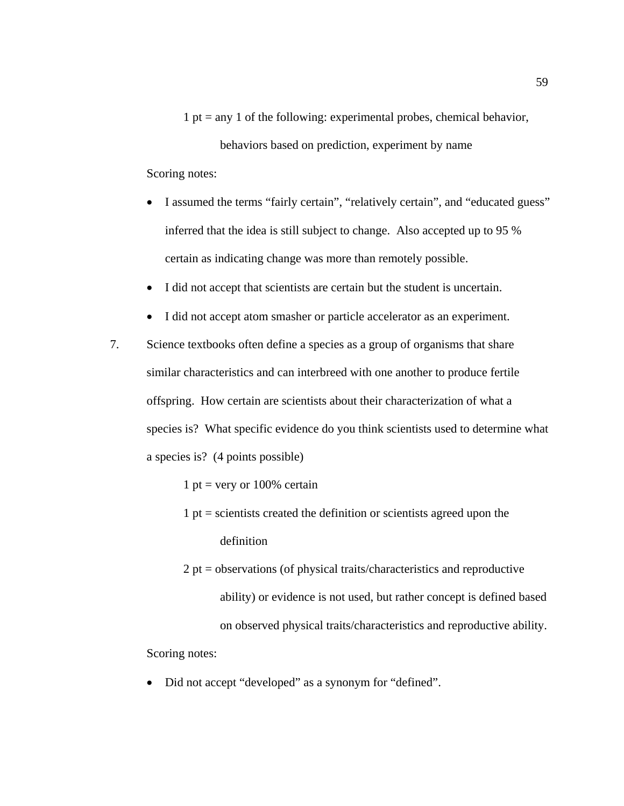1 pt = any 1 of the following: experimental probes, chemical behavior,

behaviors based on prediction, experiment by name Scoring notes:

- I assumed the terms "fairly certain", "relatively certain", and "educated guess" inferred that the idea is still subject to change. Also accepted up to 95 % certain as indicating change was more than remotely possible.
- I did not accept that scientists are certain but the student is uncertain.
- I did not accept atom smasher or particle accelerator as an experiment.
- 7. Science textbooks often define a species as a group of organisms that share similar characteristics and can interbreed with one another to produce fertile offspring. How certain are scientists about their characterization of what a species is? What specific evidence do you think scientists used to determine what a species is? (4 points possible)

1 pt = very or  $100\%$  certain

- $1$  pt = scientists created the definition or scientists agreed upon the definition
- 2 pt = observations (of physical traits/characteristics and reproductive ability) or evidence is not used, but rather concept is defined based on observed physical traits/characteristics and reproductive ability.

Scoring notes:

• Did not accept "developed" as a synonym for "defined".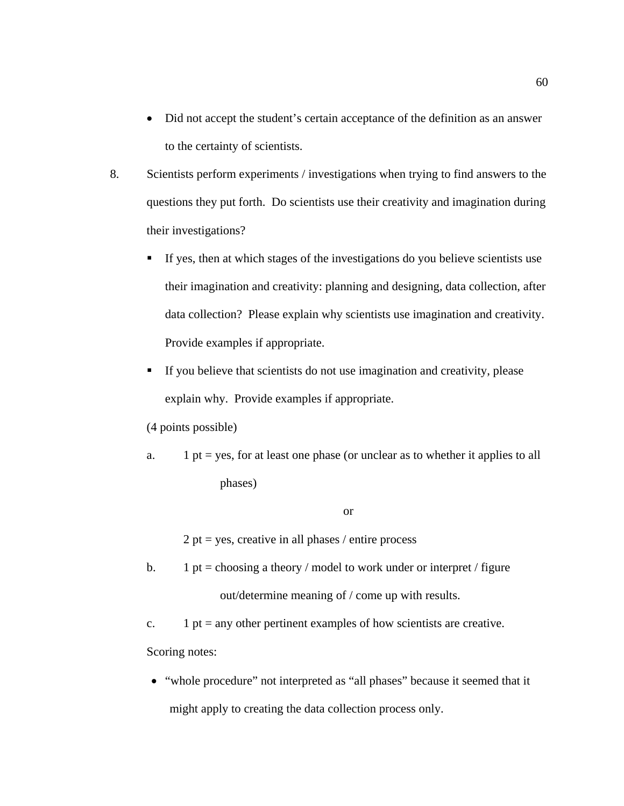- Did not accept the student's certain acceptance of the definition as an answer to the certainty of scientists.
- 8. Scientists perform experiments / investigations when trying to find answers to the questions they put forth. Do scientists use their creativity and imagination during their investigations?
	- If yes, then at which stages of the investigations do you believe scientists use their imagination and creativity: planning and designing, data collection, after data collection? Please explain why scientists use imagination and creativity. Provide examples if appropriate.
	- If you believe that scientists do not use imagination and creativity, please explain why. Provide examples if appropriate.

(4 points possible)

a. 1 pt = yes, for at least one phase (or unclear as to whether it applies to all phases)

#### or

 $2 pt = yes$ , creative in all phases / entire process

- b. 1 pt = choosing a theory / model to work under or interpret / figure out/determine meaning of / come up with results.
- c. 1 pt = any other pertinent examples of how scientists are creative. Scoring notes:
- "whole procedure" not interpreted as "all phases" because it seemed that it might apply to creating the data collection process only.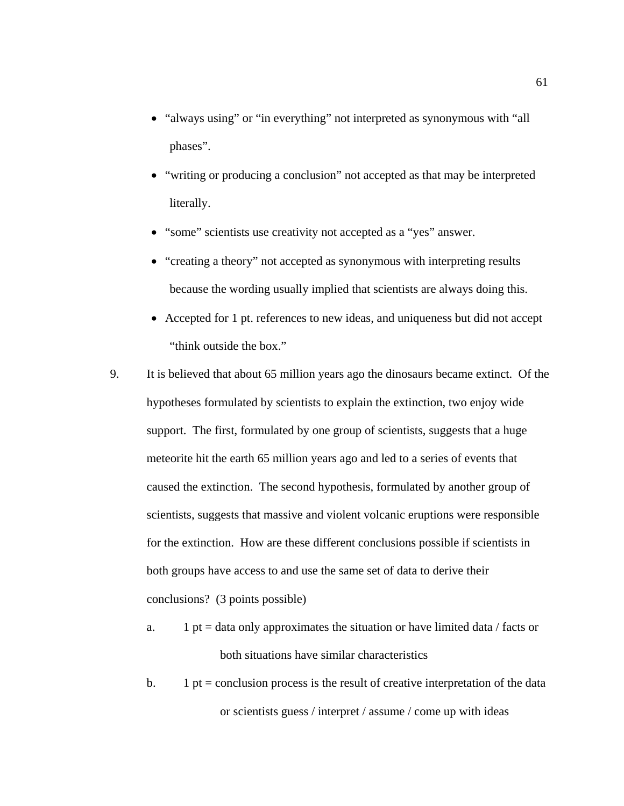- "always using" or "in everything" not interpreted as synonymous with "all phases".
- "writing or producing a conclusion" not accepted as that may be interpreted literally.
- "some" scientists use creativity not accepted as a "yes" answer.
- "creating a theory" not accepted as synonymous with interpreting results because the wording usually implied that scientists are always doing this.
- Accepted for 1 pt. references to new ideas, and uniqueness but did not accept "think outside the box."
- 9. It is believed that about 65 million years ago the dinosaurs became extinct. Of the hypotheses formulated by scientists to explain the extinction, two enjoy wide support. The first, formulated by one group of scientists, suggests that a huge meteorite hit the earth 65 million years ago and led to a series of events that caused the extinction. The second hypothesis, formulated by another group of scientists, suggests that massive and violent volcanic eruptions were responsible for the extinction. How are these different conclusions possible if scientists in both groups have access to and use the same set of data to derive their conclusions? (3 points possible)
	- a. 1 pt = data only approximates the situation or have limited data / facts or both situations have similar characteristics
	- b. 1 pt = conclusion process is the result of creative interpretation of the data or scientists guess / interpret / assume / come up with ideas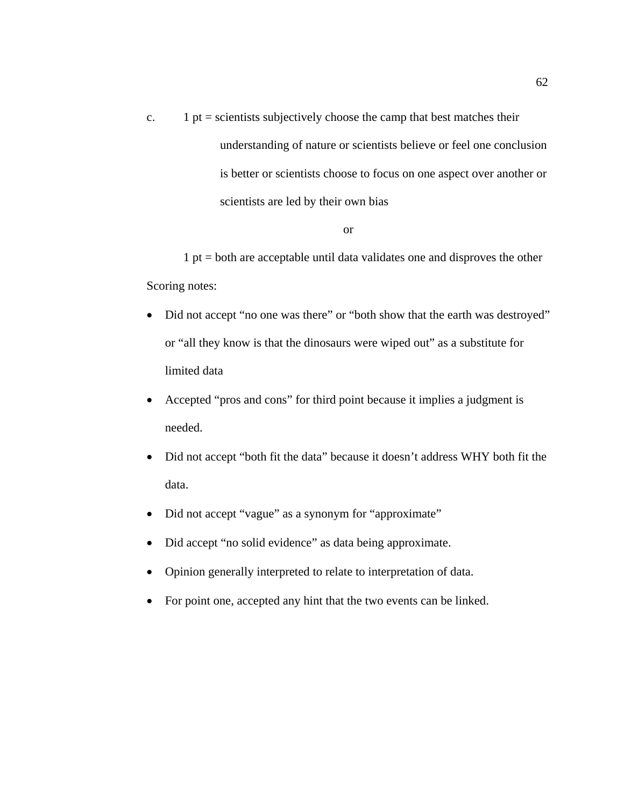c.  $1 pt =$  scientists subjectively choose the camp that best matches their understanding of nature or scientists believe or feel one conclusion is better or scientists choose to focus on one aspect over another or scientists are led by their own bias

#### or

1 pt = both are acceptable until data validates one and disproves the other Scoring notes:

- Did not accept "no one was there" or "both show that the earth was destroyed" or "all they know is that the dinosaurs were wiped out" as a substitute for limited data
- Accepted "pros and cons" for third point because it implies a judgment is needed.
- Did not accept "both fit the data" because it doesn't address WHY both fit the data.
- Did not accept "vague" as a synonym for "approximate"
- Did accept "no solid evidence" as data being approximate.
- Opinion generally interpreted to relate to interpretation of data.
- For point one, accepted any hint that the two events can be linked.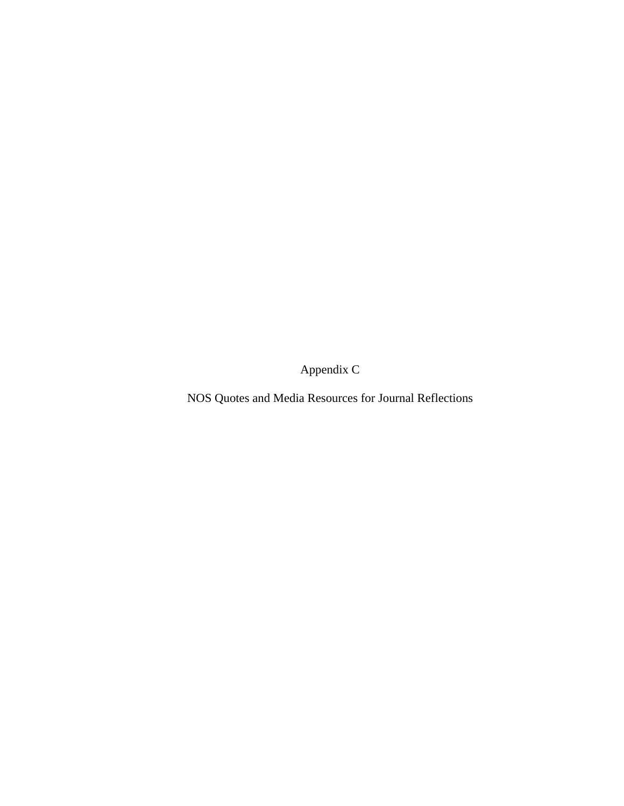Appendix C

NOS Quotes and Media Resources for Journal Reflections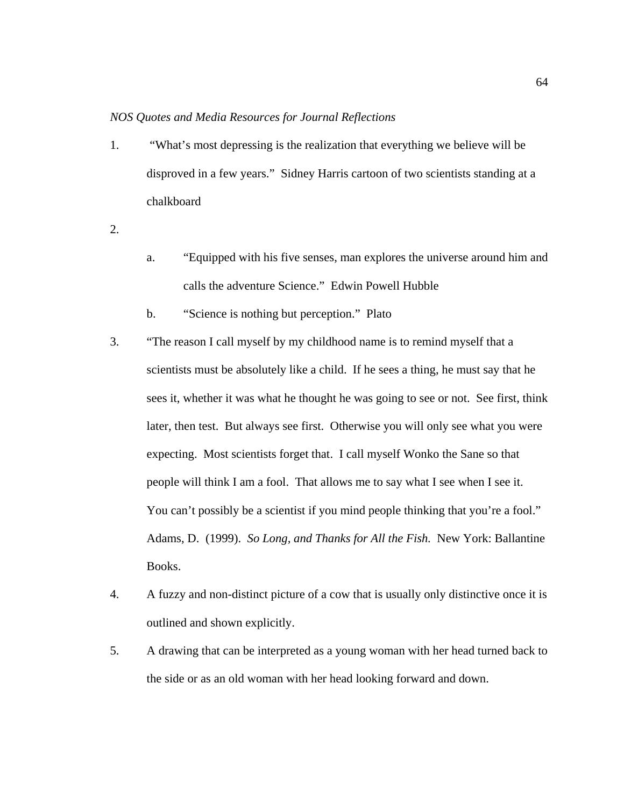## *NOS Quotes and Media Resources for Journal Reflections*

- 1. "What's most depressing is the realization that everything we believe will be disproved in a few years." Sidney Harris cartoon of two scientists standing at a chalkboard
- 2.
- a. "Equipped with his five senses, man explores the universe around him and calls the adventure Science." Edwin Powell Hubble
- b. "Science is nothing but perception." Plato
- 3. "The reason I call myself by my childhood name is to remind myself that a scientists must be absolutely like a child. If he sees a thing, he must say that he sees it, whether it was what he thought he was going to see or not. See first, think later, then test. But always see first. Otherwise you will only see what you were expecting. Most scientists forget that. I call myself Wonko the Sane so that people will think I am a fool. That allows me to say what I see when I see it. You can't possibly be a scientist if you mind people thinking that you're a fool." Adams, D. (1999). *So Long, and Thanks for All the Fish.* New York: Ballantine Books.
- 4. A fuzzy and non-distinct picture of a cow that is usually only distinctive once it is outlined and shown explicitly.
- 5. A drawing that can be interpreted as a young woman with her head turned back to the side or as an old woman with her head looking forward and down.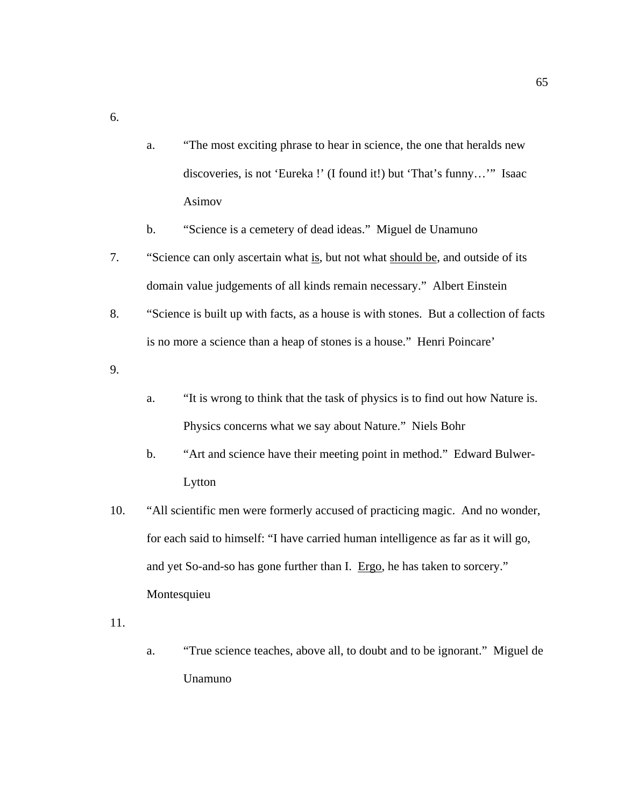a. "The most exciting phrase to hear in science, the one that heralds new discoveries, is not 'Eureka !' (I found it!) but 'That's funny…'" Isaac Asimov

b. "Science is a cemetery of dead ideas." Miguel de Unamuno

- 7. "Science can only ascertain what is, but not what should be, and outside of its domain value judgements of all kinds remain necessary." Albert Einstein
- 8. "Science is built up with facts, as a house is with stones. But a collection of facts is no more a science than a heap of stones is a house." Henri Poincare'

9.

6.

- a. "It is wrong to think that the task of physics is to find out how Nature is. Physics concerns what we say about Nature." Niels Bohr
- b. "Art and science have their meeting point in method." Edward Bulwer-Lytton
- 10. "All scientific men were formerly accused of practicing magic. And no wonder, for each said to himself: "I have carried human intelligence as far as it will go, and yet So-and-so has gone further than I. Ergo, he has taken to sorcery." Montesquieu

11.

a. "True science teaches, above all, to doubt and to be ignorant." Miguel de Unamuno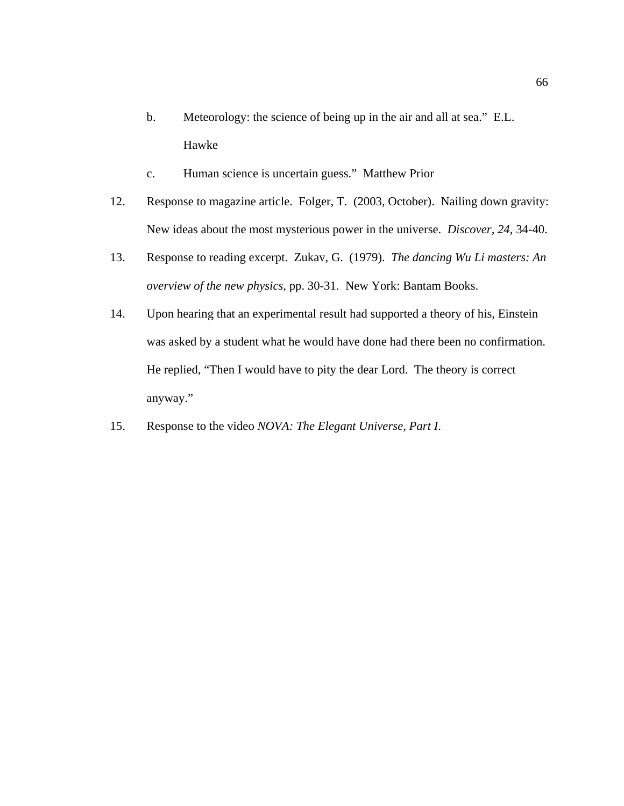- b. Meteorology: the science of being up in the air and all at sea." E.L. Hawke
- c. Human science is uncertain guess." Matthew Prior
- 12. Response to magazine article. Folger, T. (2003, October). Nailing down gravity: New ideas about the most mysterious power in the universe. *Discover, 24*, 34-40.
- 13. Response to reading excerpt. Zukav, G. (1979). *The dancing Wu Li masters: An overview of the new physics*, pp. 30-31. New York: Bantam Books.
- 14. Upon hearing that an experimental result had supported a theory of his, Einstein was asked by a student what he would have done had there been no confirmation. He replied, "Then I would have to pity the dear Lord. The theory is correct anyway."
- 15. Response to the video *NOVA: The Elegant Universe, Part I*.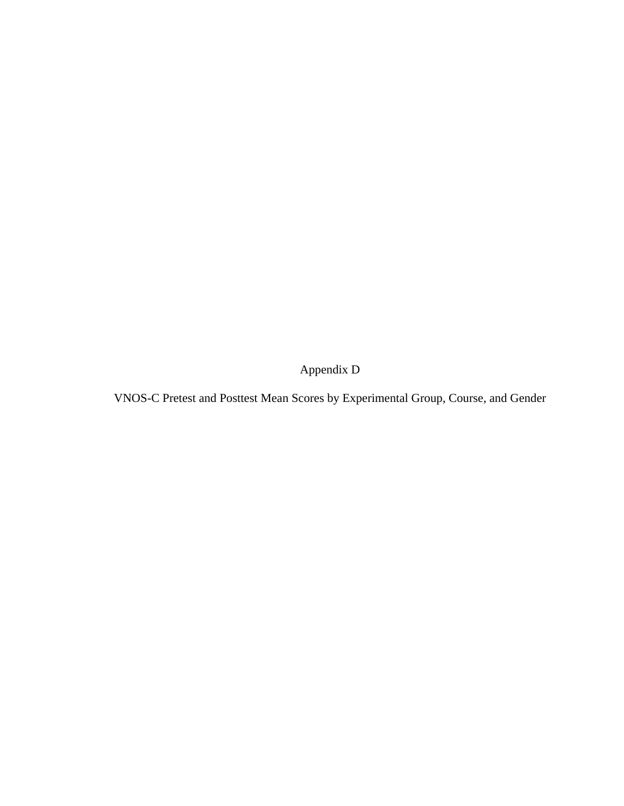Appendix D

VNOS-C Pretest and Posttest Mean Scores by Experimental Group, Course, and Gender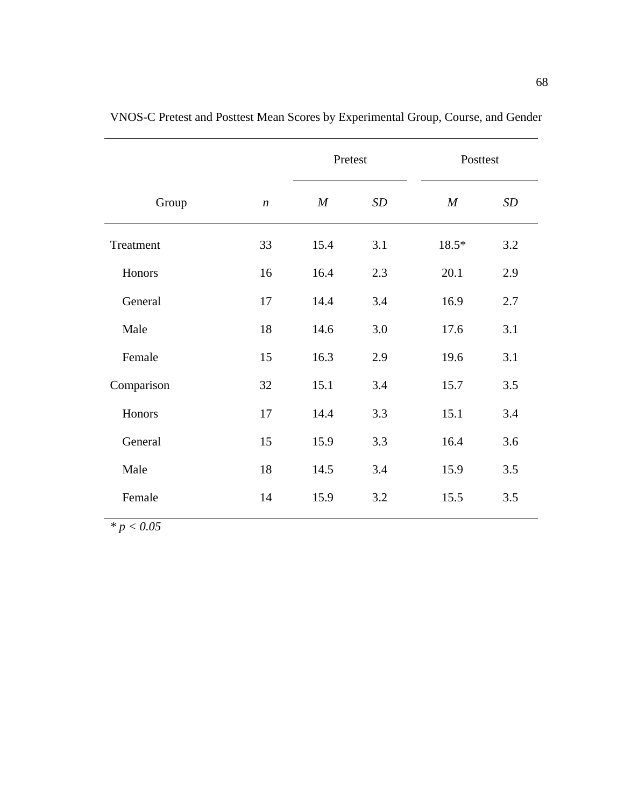|            |                  | Pretest          |     | Posttest |     |
|------------|------------------|------------------|-----|----------|-----|
| Group      | $\boldsymbol{n}$ | $\boldsymbol{M}$ | SD  | M        | SD  |
| Treatment  | 33               | 15.4             | 3.1 | 18.5*    | 3.2 |
| Honors     | 16               | 16.4             | 2.3 | 20.1     | 2.9 |
| General    | 17               | 14.4             | 3.4 | 16.9     | 2.7 |
| Male       | 18               | 14.6             | 3.0 | 17.6     | 3.1 |
| Female     | 15               | 16.3             | 2.9 | 19.6     | 3.1 |
| Comparison | 32               | 15.1             | 3.4 | 15.7     | 3.5 |
| Honors     | 17               | 14.4             | 3.3 | 15.1     | 3.4 |
| General    | 15               | 15.9             | 3.3 | 16.4     | 3.6 |
| Male       | 18               | 14.5             | 3.4 | 15.9     | 3.5 |
| Female     | 14               | 15.9             | 3.2 | 15.5     | 3.5 |

VNOS-C Pretest and Posttest Mean Scores by Experimental Group, Course, and Gender

*\* p < 0.05*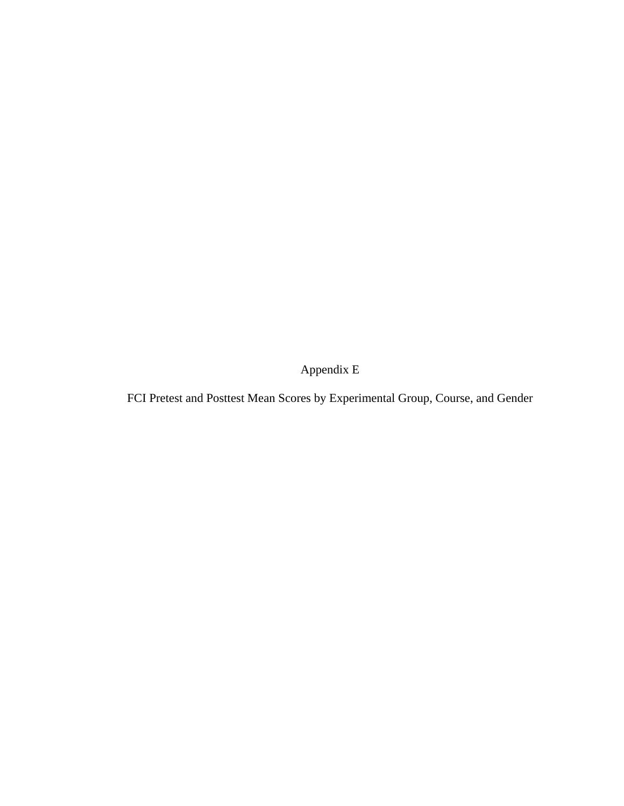Appendix E

FCI Pretest and Posttest Mean Scores by Experimental Group, Course, and Gender